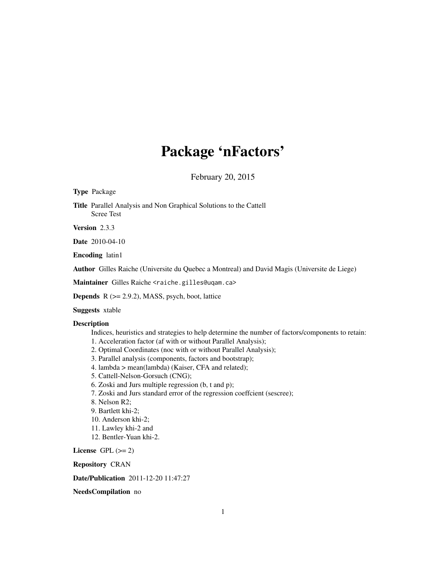# Package 'nFactors'

February 20, 2015

Type Package

Title Parallel Analysis and Non Graphical Solutions to the Cattell Scree Test

Version 2.3.3

Date 2010-04-10

Encoding latin1

Author Gilles Raiche (Universite du Quebec a Montreal) and David Magis (Universite de Liege)

Maintainer Gilles Raiche <raiche.gilles@uqam.ca>

**Depends**  $R$  ( $>= 2.9.2$ ), MASS, psych, boot, lattice

Suggests xtable

### **Description**

Indices, heuristics and strategies to help determine the number of factors/components to retain:

- 1. Acceleration factor (af with or without Parallel Analysis);
- 2. Optimal Coordinates (noc with or without Parallel Analysis);
- 3. Parallel analysis (components, factors and bootstrap);
- 4. lambda > mean(lambda) (Kaiser, CFA and related);
- 5. Cattell-Nelson-Gorsuch (CNG);
- 6. Zoski and Jurs multiple regression (b, t and p);
- 7. Zoski and Jurs standard error of the regression coeffcient (sescree);
- 8. Nelson R2;
- 9. Bartlett khi-2;
- 10. Anderson khi-2;
- 11. Lawley khi-2 and
- 12. Bentler-Yuan khi-2.

License GPL  $(>= 2)$ 

Repository CRAN

Date/Publication 2011-12-20 11:47:27

NeedsCompilation no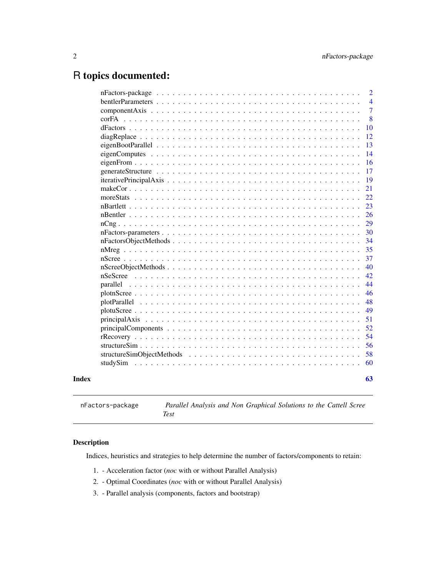## <span id="page-1-0"></span>R topics documented:

| corFA    | $\overline{4}$<br>$\overline{7}$<br>8<br>10<br>12<br>13<br>14<br>16<br>17<br>19<br>21 |
|----------|---------------------------------------------------------------------------------------|
|          |                                                                                       |
|          |                                                                                       |
|          |                                                                                       |
|          |                                                                                       |
|          |                                                                                       |
|          |                                                                                       |
|          |                                                                                       |
|          |                                                                                       |
|          |                                                                                       |
|          |                                                                                       |
|          |                                                                                       |
|          | 22                                                                                    |
|          | 23                                                                                    |
|          | 26                                                                                    |
|          | 29                                                                                    |
|          | 30                                                                                    |
|          | 34                                                                                    |
|          | 35                                                                                    |
|          | 37                                                                                    |
|          | 40                                                                                    |
|          | 42                                                                                    |
|          | 44                                                                                    |
|          | 46                                                                                    |
|          | 48                                                                                    |
|          | 49                                                                                    |
|          | 51                                                                                    |
|          | 52                                                                                    |
|          | 54                                                                                    |
|          | 56                                                                                    |
|          | 58                                                                                    |
| studySim | 60                                                                                    |
| Index    | 63                                                                                    |

<span id="page-1-1"></span>nFactors-package *Parallel Analysis and Non Graphical Solutions to the Cattell Scree Test*

### Description

Indices, heuristics and strategies to help determine the number of factors/components to retain:

- 1. Acceleration factor (*noc* with or without Parallel Analysis)
- 2. Optimal Coordinates (*noc* with or without Parallel Analysis)
- 3. Parallel analysis (components, factors and bootstrap)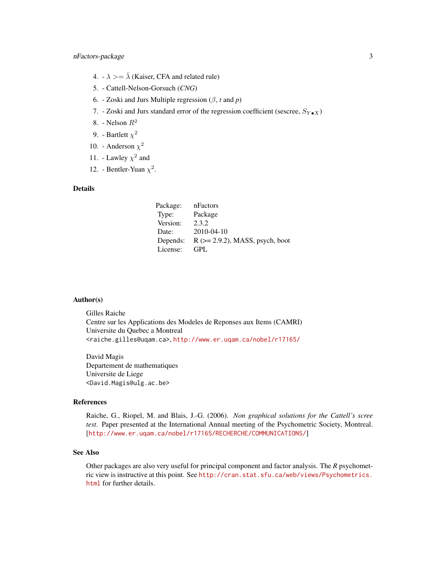- 4.  $\lambda \geq \bar{\lambda}$  (Kaiser, CFA and related rule)
- 5. Cattell-Nelson-Gorsuch (*CNG*)
- 6. Zoski and Jurs Multiple regression (β, *t* and *p*)
- 7. Zoski and Jurs standard error of the regression coefficient (sescree,  $S_{Y \bullet X}$ )
- 8. Nelson  $R^2$
- 9. Bartlett  $\chi^2$
- 10. Anderson  $\chi^2$
- 11. Lawley  $\chi^2$  and
- 12. Bentler-Yuan  $\chi^2$ .

### Details

| Package: | nFactors                              |
|----------|---------------------------------------|
| Type:    | Package                               |
| Version: | 2.3.2                                 |
| Date:    | $2010 - 04 - 10$                      |
| Depends: | $R$ ( $>= 2.9.2$ ), MASS, psych, boot |
| License: | GPI.                                  |

#### Author(s)

Gilles Raiche Centre sur les Applications des Modeles de Reponses aux Items (CAMRI) Universite du Quebec a Montreal <raiche.gilles@uqam.ca>, <http://www.er.uqam.ca/nobel/r17165/>

David Magis Departement de mathematiques Universite de Liege <David.Magis@ulg.ac.be>

#### References

Raiche, G., Riopel, M. and Blais, J.-G. (2006). *Non graphical solutions for the Cattell's scree test*. Paper presented at the International Annual meeting of the Psychometric Society, Montreal. [<http://www.er.uqam.ca/nobel/r17165/RECHERCHE/COMMUNICATIONS/>]

### See Also

Other packages are also very useful for principal component and factor analysis. The *R* psychometric view is instructive at this point. See [http://cran.stat.sfu.ca/web/views/Psychometrics.](http://cran.stat.sfu.ca/web/views/Psychometrics.html) [html](http://cran.stat.sfu.ca/web/views/Psychometrics.html) for further details.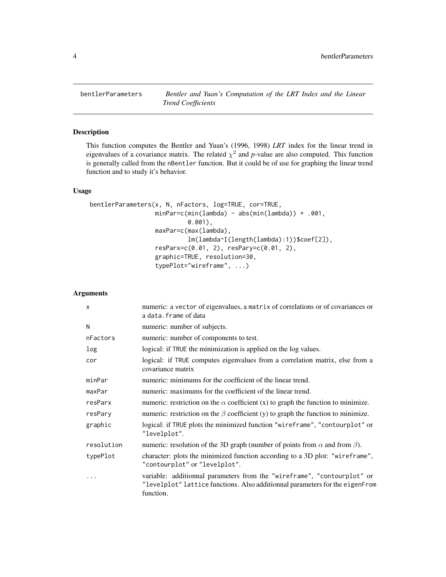<span id="page-3-1"></span><span id="page-3-0"></span>

### Description

This function computes the Bentler and Yuan's (1996, 1998) *LRT* index for the linear trend in eigenvalues of a covariance matrix. The related  $\chi^2$  and p-value are also computed. This function is generally called from the nBentler function. But it could be of use for graphing the linear trend function and to study it's behavior.

### Usage

```
bentlerParameters(x, N, nFactors, log=TRUE, cor=TRUE,
                  minPar=c(min(lambda) - abs(min(lambda)) + .001,
                           0.001),
                  maxPar=c(max(lambda),
                           lm(lambda~I(length(lambda):1))$coef[2]),
                  resParx=c(0.01, 2), resPary=c(0.01, 2),
                  graphic=TRUE, resolution=30,
                  typePlot="wireframe", ...)
```
### Arguments

| $\mathsf{x}$ | numeric: a vector of eigenvalues, a matrix of correlations or of covariances or<br>a data.frame of data                                                              |
|--------------|----------------------------------------------------------------------------------------------------------------------------------------------------------------------|
| N            | numeric: number of subjects.                                                                                                                                         |
| nFactors     | numeric: number of components to test.                                                                                                                               |
| log          | logical: if TRUE the minimization is applied on the log values.                                                                                                      |
| cor          | logical: if TRUE computes eigenvalues from a correlation matrix, else from a<br>covariance matrix                                                                    |
| minPar       | numeric: minimums for the coefficient of the linear trend.                                                                                                           |
| maxPar       | numeric: maximums for the coefficient of the linear trend.                                                                                                           |
| resParx      | numeric: restriction on the $\alpha$ coefficient (x) to graph the function to minimize.                                                                              |
| resPary      | numeric: restriction on the $\beta$ coefficient (y) to graph the function to minimize.                                                                               |
| graphic      | logical: if TRUE plots the minimized function "wireframe", "contourplot" or<br>"levelplot".                                                                          |
| resolution   | numeric: resolution of the 3D graph (number of points from $\alpha$ and from $\beta$ ).                                                                              |
| typePlot     | character: plots the minimized function according to a 3D plot: "wireframe",<br>"contourplot" or "levelplot".                                                        |
| .            | variable: additionnal parameters from the "wireframe", "contourplot" or<br>"levelplot" lattice functions. Also additionnal parameters for the eigenFrom<br>function. |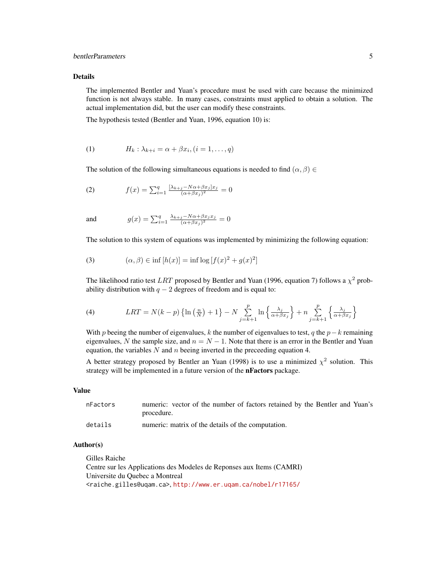### bentlerParameters 5

#### Details

The implemented Bentler and Yuan's procedure must be used with care because the minimized function is not always stable. In many cases, constraints must applied to obtain a solution. The actual implementation did, but the user can modify these constraints.

The hypothesis tested (Bentler and Yuan, 1996, equation 10) is:

$$
(1) \tHk: \lambdak+i = \alpha + \beta xi, (i = 1, ..., q)
$$

The solution of the following simultaneous equations is needed to find  $(\alpha, \beta) \in$ 

(2) 
$$
f(x) = \sum_{i=1}^{q} \frac{[\lambda_{k+j} - N\alpha + \beta x_j]x_j}{(\alpha + \beta x_j)^2} = 0
$$

and 
$$
g(x) = \sum_{i=1}^{q} \frac{\lambda_{k+j} - N\alpha + \beta x_j x_j}{(\alpha + \beta x_j)^2} = 0
$$

The solution to this system of equations was implemented by minimizing the following equation:

(3) 
$$
(\alpha, \beta) \in \inf [h(x)] = \inf \log [f(x)^2 + g(x)^2]
$$

The likelihood ratio test LRT proposed by Bentler and Yuan (1996, equation 7) follows a  $\chi^2$  probability distribution with  $q - 2$  degrees of freedom and is equal to:

(4) 
$$
LRT = N(k-p) \left\{ \ln \left( \frac{n}{N} \right) + 1 \right\} - N \sum_{j=k+1}^{p} \ln \left\{ \frac{\lambda_j}{\alpha + \beta x_j} \right\} + n \sum_{j=k+1}^{p} \left\{ \frac{\lambda_j}{\alpha + \beta x_j} \right\}
$$

With p beeing the number of eigenvalues, k the number of eigenvalues to test, q the  $p-k$  remaining eigenvalues, N the sample size, and  $n = N - 1$ . Note that there is an error in the Bentler and Yuan equation, the variables  $N$  and  $n$  beeing inverted in the preceeding equation 4.

A better strategy proposed by Bentler an Yuan (1998) is to use a minimized  $\chi^2$  solution. This strategy will be implemented in a future version of the nFactors package.

#### Value

| nFactors | numeric: vector of the number of factors retained by the Bentler and Yuan's |
|----------|-----------------------------------------------------------------------------|
|          | procedure.                                                                  |
| details  | numeric: matrix of the details of the computation.                          |

### Author(s)

Gilles Raiche Centre sur les Applications des Modeles de Reponses aux Items (CAMRI) Universite du Quebec a Montreal <raiche.gilles@uqam.ca>, <http://www.er.uqam.ca/nobel/r17165/>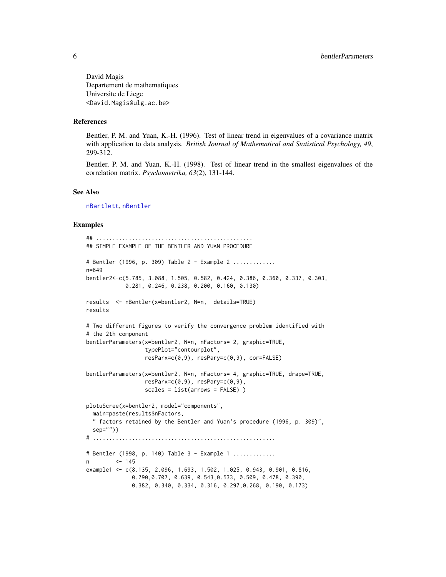<span id="page-5-0"></span>David Magis Departement de mathematiques Universite de Liege <David.Magis@ulg.ac.be>

#### References

Bentler, P. M. and Yuan, K.-H. (1996). Test of linear trend in eigenvalues of a covariance matrix with application to data analysis. *British Journal of Mathematical and Statistical Psychology, 49*, 299-312.

Bentler, P. M. and Yuan, K.-H. (1998). Test of linear trend in the smallest eigenvalues of the correlation matrix. *Psychometrika, 63*(2), 131-144.

#### See Also

[nBartlett](#page-22-1), [nBentler](#page-25-1)

#### Examples

```
## ................................................
## SIMPLE EXAMPLE OF THE BENTLER AND YUAN PROCEDURE
# Bentler (1996, p. 309) Table 2 - Example 2 .............
n=649
bentler2<-c(5.785, 3.088, 1.505, 0.582, 0.424, 0.386, 0.360, 0.337, 0.303,
            0.281, 0.246, 0.238, 0.200, 0.160, 0.130)
results <- nBentler(x=bentler2, N=n, details=TRUE)
results
# Two different figures to verify the convergence problem identified with
# the 2th component
bentlerParameters(x=bentler2, N=n, nFactors= 2, graphic=TRUE,
                  typePlot="contourplot",
                  resParx=c(0,9), resPary=c(0,9), cor=FALSE)
bentlerParameters(x=bentler2, N=n, nFactors= 4, graphic=TRUE, drape=TRUE,
                  resParx=c(0,9), resPary=c(0,9),
                  scales = list(arrows = FALSE) )
plotuScree(x=bentler2, model="components",
  main=paste(results$nFactors,
  " factors retained by the Bentler and Yuan's procedure (1996, p. 309)",
  sep=""))
# ........................................................
# Bentler (1998, p. 140) Table 3 - Example 1 .............
n <- 145
example1 <- c(8.135, 2.096, 1.693, 1.502, 1.025, 0.943, 0.901, 0.816,
              0.790,0.707, 0.639, 0.543,0.533, 0.509, 0.478, 0.390,
              0.382, 0.340, 0.334, 0.316, 0.297,0.268, 0.190, 0.173)
```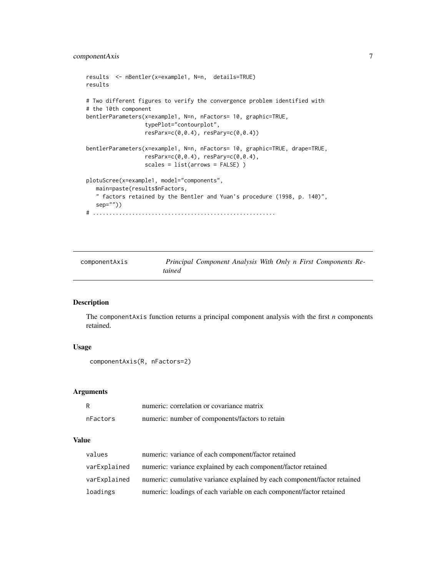```
results <- nBentler(x=example1, N=n, details=TRUE)
results
# Two different figures to verify the convergence problem identified with
# the 10th component
bentlerParameters(x=example1, N=n, nFactors= 10, graphic=TRUE,
                  typePlot="contourplot",
                  resParx=c(0,0.4), resPary=c(0,0.4))
bentlerParameters(x=example1, N=n, nFactors= 10, graphic=TRUE, drape=TRUE,
                  resParx=c(0,0.4), resPary=c(0,0.4),
                  scales = list(arrows = FALSE) )
plotuScree(x=example1, model="components",
   main=paste(results$nFactors,
   " factors retained by the Bentler and Yuan's procedure (1998, p. 140)",
   sep=""))
# ........................................................
```
<span id="page-6-1"></span>componentAxis *Principal Component Analysis With Only n First Components Retained*

### Description

The componentAxis function returns a principal component analysis with the first *n* components retained.

#### Usage

```
componentAxis(R, nFactors=2)
```
#### Arguments

| R        | numeric: correlation or covariance matrix       |
|----------|-------------------------------------------------|
| nFactors | numeric: number of components/factors to retain |

#### Value

| values       | numeric: variance of each component/factor retained                      |
|--------------|--------------------------------------------------------------------------|
| varExplained | numeric: variance explained by each component/factor retained            |
| varExplained | numeric: cumulative variance explained by each component/factor retained |
| loadings     | numeric: loadings of each variable on each component/factor retained     |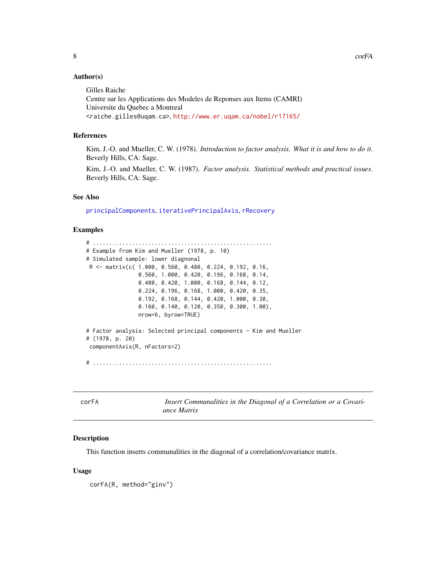### <span id="page-7-0"></span>Author(s)

Gilles Raiche Centre sur les Applications des Modeles de Reponses aux Items (CAMRI) Universite du Quebec a Montreal <raiche.gilles@uqam.ca>, <http://www.er.uqam.ca/nobel/r17165/>

### References

Kim, J.-O. and Mueller, C. W. (1978). *Introduction to factor analysis. What it is and how to do it*. Beverly Hills, CA: Sage.

Kim, J.-O. and Mueller, C. W. (1987). *Factor analysis. Statistical methods and practical issues*. Beverly Hills, CA: Sage.

#### See Also

[principalComponents](#page-51-1), [iterativePrincipalAxis](#page-18-1), [rRecovery](#page-53-1)

#### Examples

```
# .......................................................
# Example from Kim and Mueller (1978, p. 10)
# Simulated sample: lower diagnonal
R <- matrix(c( 1.000, 0.560, 0.480, 0.224, 0.192, 0.16,
                0.560, 1.000, 0.420, 0.196, 0.168, 0.14,
                0.480, 0.420, 1.000, 0.168, 0.144, 0.12,
                0.224, 0.196, 0.168, 1.000, 0.420, 0.35,
                0.192, 0.168, 0.144, 0.420, 1.000, 0.30,
                0.160, 0.140, 0.120, 0.350, 0.300, 1.00),
                nrow=6, byrow=TRUE)
# Factor analysis: Selected principal components - Kim and Mueller
# (1978, p. 20)
componentAxis(R, nFactors=2)
```
# .......................................................

corFA *Insert Communalities in the Diagonal of a Correlation or a Covariance Matrix*

#### **Description**

This function inserts communalities in the diagonal of a correlation/covariance matrix.

#### Usage

corFA(R, method="ginv")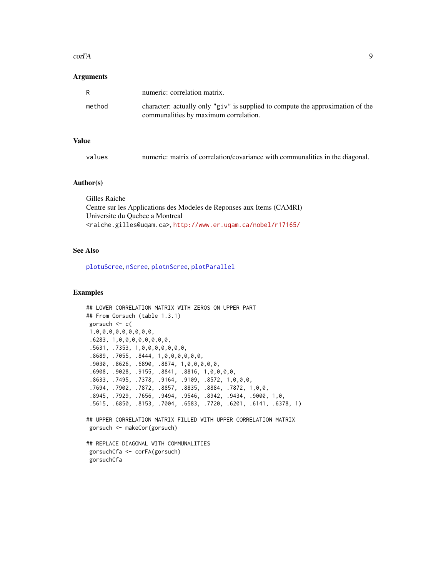#### <span id="page-8-0"></span> $\epsilon$  or FA 99

#### Arguments

| R      | numeric: correlation matrix.                                                                                                |
|--------|-----------------------------------------------------------------------------------------------------------------------------|
| method | character: actually only " $giv$ " is supplied to compute the approximation of the<br>communalities by maximum correlation. |

### Value

| values |  |  |  | numeric: matrix of correlation/covariance with communalities in the diagonal. |  |  |
|--------|--|--|--|-------------------------------------------------------------------------------|--|--|
|--------|--|--|--|-------------------------------------------------------------------------------|--|--|

#### Author(s)

| Gilles Raiche                                                                       |
|-------------------------------------------------------------------------------------|
| Centre sur les Applications des Modeles de Reponses aux Items (CAMRI)               |
| Universite du Ouebec a Montreal                                                     |
| <raiche.gilles@uqam.ca>,http://www.er.uqam.ca/nobel/r17165/</raiche.gilles@uqam.ca> |

### See Also

[plotuScree](#page-48-1), [nScree](#page-36-1), [plotnScree](#page-45-1), [plotParallel](#page-47-1)

### Examples

```
## LOWER CORRELATION MATRIX WITH ZEROS ON UPPER PART
## From Gorsuch (table 1.3.1)
gorsuch <- c(
1,0,0,0,0,0,0,0,0,0,
.6283, 1,0,0,0,0,0,0,0,0,
.5631, .7353, 1,0,0,0,0,0,0,0,
.8689, .7055, .8444, 1,0,0,0,0,0,0,
.9030, .8626, .6890, .8874, 1,0,0,0,0,0,
.6908, .9028, .9155, .8841, .8816, 1,0,0,0,0,
 .8633, .7495, .7378, .9164, .9109, .8572, 1,0,0,0,
 .7694, .7902, .7872, .8857, .8835, .8884, .7872, 1,0,0,
 .8945, .7929, .7656, .9494, .9546, .8942, .9434, .9000, 1,0,
 .5615, .6850, .8153, .7004, .6583, .7720, .6201, .6141, .6378, 1)
## UPPER CORRELATION MATRIX FILLED WITH UPPER CORRELATION MATRIX
gorsuch <- makeCor(gorsuch)
## REPLACE DIAGONAL WITH COMMUNALITIES
```
gorsuchCfa <- corFA(gorsuch) gorsuchCfa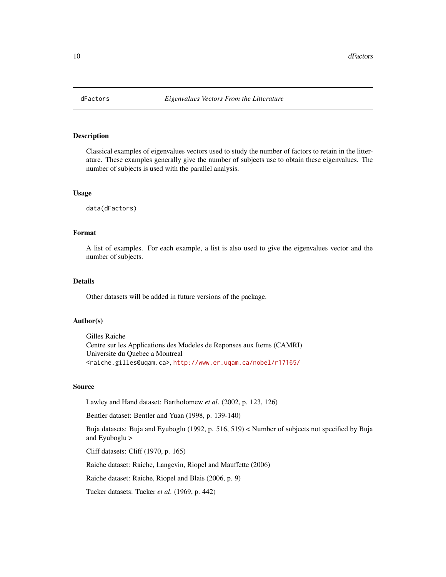<span id="page-9-0"></span>

### Description

Classical examples of eigenvalues vectors used to study the number of factors to retain in the litterature. These examples generally give the number of subjects use to obtain these eigenvalues. The number of subjects is used with the parallel analysis.

#### Usage

data(dFactors)

#### Format

A list of examples. For each example, a list is also used to give the eigenvalues vector and the number of subjects.

### Details

Other datasets will be added in future versions of the package.

#### Author(s)

Gilles Raiche Centre sur les Applications des Modeles de Reponses aux Items (CAMRI) Universite du Quebec a Montreal <raiche.gilles@uqam.ca>, <http://www.er.uqam.ca/nobel/r17165/>

#### Source

Lawley and Hand dataset: Bartholomew *et al*. (2002, p. 123, 126)

Bentler dataset: Bentler and Yuan (1998, p. 139-140)

Buja datasets: Buja and Eyuboglu (1992, p. 516, 519) < Number of subjects not specified by Buja and Eyuboglu >

Cliff datasets: Cliff (1970, p. 165)

Raiche dataset: Raiche, Langevin, Riopel and Mauffette (2006)

Raiche dataset: Raiche, Riopel and Blais (2006, p. 9)

Tucker datasets: Tucker *et al*. (1969, p. 442)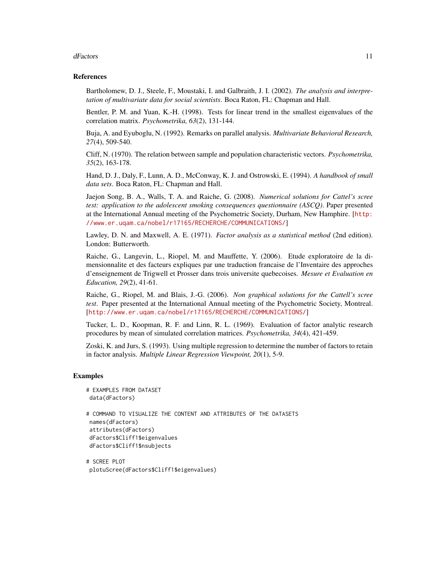#### dFactors 11

#### References

Bartholomew, D. J., Steele, F., Moustaki, I. and Galbraith, J. I. (2002). *The analysis and interpretation of multivariate data for social scientists*. Boca Raton, FL: Chapman and Hall.

Bentler, P. M. and Yuan, K.-H. (1998). Tests for linear trend in the smallest eigenvalues of the correlation matrix. *Psychometrika, 63*(2), 131-144.

Buja, A. and Eyuboglu, N. (1992). Remarks on parallel analysis. *Multivariate Behavioral Research, 27*(4), 509-540.

Cliff, N. (1970). The relation between sample and population characteristic vectors. *Psychometrika, 35*(2), 163-178.

Hand, D. J., Daly, F., Lunn, A. D., McConway, K. J. and Ostrowski, E. (1994). *A handbook of small data sets*. Boca Raton, FL: Chapman and Hall.

Jaejon Song, B. A., Walls, T. A. and Raiche, G. (2008). *Numerical solutions for Cattel's scree test: application to the adolescent smoking consequences questionnaire (ASCQ)*. Paper presented at the International Annual meeting of the Psychometric Society, Durham, New Hamphire. [[http:](http://www.er.uqam.ca/nobel/r17165/RECHERCHE/COMMUNICATIONS/) [//www.er.uqam.ca/nobel/r17165/RECHERCHE/COMMUNICATIONS/](http://www.er.uqam.ca/nobel/r17165/RECHERCHE/COMMUNICATIONS/)]

Lawley, D. N. and Maxwell, A. E. (1971). *Factor analysis as a statistical method* (2nd edition). London: Butterworth.

Raiche, G., Langevin, L., Riopel, M. and Mauffette, Y. (2006). Etude exploratoire de la dimensionnalite et des facteurs expliques par une traduction francaise de l'Inventaire des approches d'enseignement de Trigwell et Prosser dans trois universite quebecoises. *Mesure et Evaluation en Education, 29*(2), 41-61.

Raiche, G., Riopel, M. and Blais, J.-G. (2006). *Non graphical solutions for the Cattell's scree test*. Paper presented at the International Annual meeting of the Psychometric Society, Montreal. [<http://www.er.uqam.ca/nobel/r17165/RECHERCHE/COMMUNICATIONS/>]

Tucker, L. D., Koopman, R. F. and Linn, R. L. (1969). Evaluation of factor analytic research procedures by mean of simulated correlation matrices. *Psychometrika, 34*(4), 421-459.

Zoski, K. and Jurs, S. (1993). Using multiple regression to determine the number of factors to retain in factor analysis. *Multiple Linear Regression Viewpoint, 20*(1), 5-9.

#### Examples

```
# EXAMPLES FROM DATASET
data(dFactors)
# COMMAND TO VISUALIZE THE CONTENT AND ATTRIBUTES OF THE DATASETS
names(dFactors)
attributes(dFactors)
dFactors$Cliff1$eigenvalues
dFactors$Cliff1$nsubjects
```

```
# SCREE PLOT
plotuScree(dFactors$Cliff1$eigenvalues)
```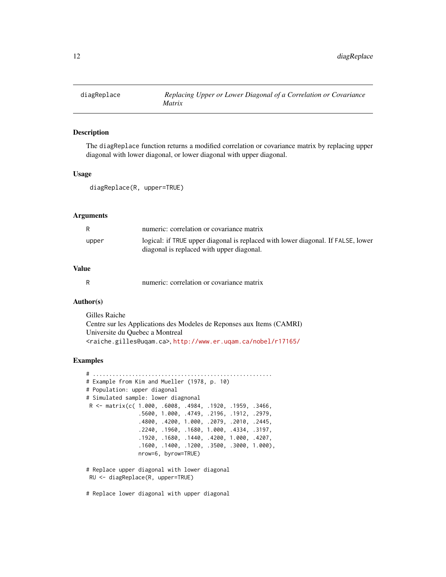<span id="page-11-0"></span>

### Description

The diagReplace function returns a modified correlation or covariance matrix by replacing upper diagonal with lower diagonal, or lower diagonal with upper diagonal.

#### Usage

diagReplace(R, upper=TRUE)

### Arguments

| R     | numeric: correlation or covariance matrix                                                                                     |
|-------|-------------------------------------------------------------------------------------------------------------------------------|
| upper | logical: if TRUE upper diagonal is replaced with lower diagonal. If FALSE, lower<br>diagonal is replaced with upper diagonal. |

### Value

|  | numeric: correlation or covariance matrix |  |  |
|--|-------------------------------------------|--|--|
|  |                                           |  |  |

#### Author(s)

Gilles Raiche Centre sur les Applications des Modeles de Reponses aux Items (CAMRI) Universite du Quebec a Montreal <raiche.gilles@uqam.ca>, <http://www.er.uqam.ca/nobel/r17165/>

### Examples

```
# .......................................................
# Example from Kim and Mueller (1978, p. 10)
# Population: upper diagonal
# Simulated sample: lower diagnonal
R <- matrix(c( 1.000, .6008, .4984, .1920, .1959, .3466,
                .5600, 1.000, .4749, .2196, .1912, .2979,
                .4800, .4200, 1.000, .2079, .2010, .2445,
                .2240, .1960, .1680, 1.000, .4334, .3197,
                .1920, .1680, .1440, .4200, 1.000, .4207,
                .1600, .1400, .1200, .3500, .3000, 1.000),
                nrow=6, byrow=TRUE)
# Replace upper diagonal with lower diagonal
```
RU <- diagReplace(R, upper=TRUE)

# Replace lower diagonal with upper diagonal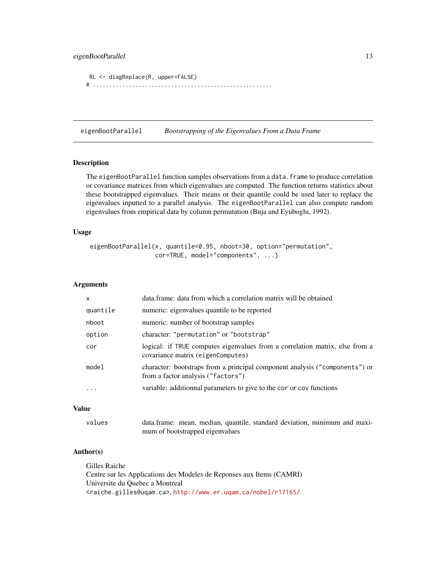### <span id="page-12-0"></span>eigenBootParallel 13

```
RL <- diagReplace(R, upper=FALSE)
# .......................................................
```
eigenBootParallel *Bootstrapping of the Eigenvalues From a Data Frame*

### Description

The eigenBootParallel function samples observations from a data. frame to produce correlation or covariance matrices from which eigenvalues are computed. The function returns statistics about these bootstrapped eigenvalues. Their means or their quantile could be used later to replace the eigenvalues inputted to a parallel analysis. The eigenBootParallel can also compute random eigenvalues from empirical data by column permutation (Buja and Eyuboglu, 1992).

### Usage

```
eigenBootParallel(x, quantile=0.95, nboot=30, option="permutation",
                  cor=TRUE, model="components", ...)
```
#### Arguments

| $\mathsf{x}$ | data.frame: data from which a correlation matrix will be obtained                                                 |
|--------------|-------------------------------------------------------------------------------------------------------------------|
| quantile     | numeric: eigenvalues quantile to be reported                                                                      |
| nboot        | numeric: number of bootstrap samples                                                                              |
| option       | character: "permutation" or "bootstrap"                                                                           |
| cor          | logical: if TRUE computes eigenvalues from a correlation matrix, else from a<br>covariance matrix (eigenComputes) |
| model        | character: bootstraps from a principal component analysis ("components") or<br>from a factor analysis ("factors") |
| $\cdots$     | variable: additionnal parameters to give to the cor or cov functions                                              |
|              |                                                                                                                   |

### Value

| values | data.frame: mean, median, quantile, standard deviation, minimum and maxi- |  |  |  |  |
|--------|---------------------------------------------------------------------------|--|--|--|--|
|        | mum of bootstrapped eigenvalues                                           |  |  |  |  |

#### Author(s)

Gilles Raiche Centre sur les Applications des Modeles de Reponses aux Items (CAMRI) Universite du Quebec a Montreal <raiche.gilles@uqam.ca>, <http://www.er.uqam.ca/nobel/r17165/>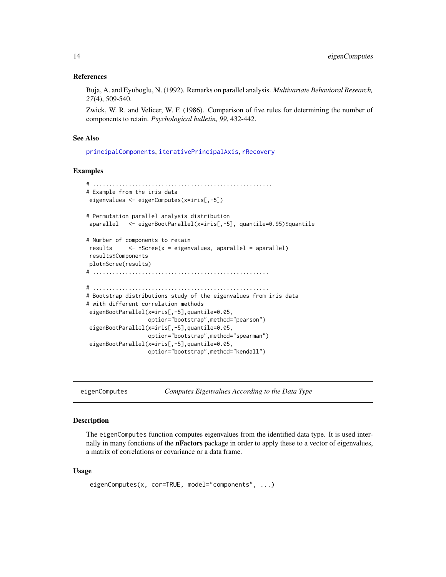#### <span id="page-13-0"></span>References

Buja, A. and Eyuboglu, N. (1992). Remarks on parallel analysis. *Multivariate Behavioral Research, 27*(4), 509-540.

Zwick, W. R. and Velicer, W. F. (1986). Comparison of five rules for determining the number of components to retain. *Psychological bulletin, 99*, 432-442.

#### See Also

[principalComponents](#page-51-1), [iterativePrincipalAxis](#page-18-1), [rRecovery](#page-53-1)

#### Examples

```
# .......................................................
# Example from the iris data
eigenvalues <- eigenComputes(x=iris[,-5])
# Permutation parallel analysis distribution
aparallel <- eigenBootParallel(x=iris[,-5], quantile=0.95)$quantile
# Number of components to retain
results <- nScree(x = eigenvalues, aparallel = aparallel)
results$Components
plotnScree(results)
# ......................................................
# ......................................................
# Bootstrap distributions study of the eigenvalues from iris data
# with different correlation methods
eigenBootParallel(x=iris[,-5],quantile=0.05,
                  option="bootstrap",method="pearson")
 eigenBootParallel(x=iris[,-5],quantile=0.05,
                  option="bootstrap",method="spearman")
 eigenBootParallel(x=iris[,-5],quantile=0.05,
                  option="bootstrap",method="kendall")
```
eigenComputes *Computes Eigenvalues According to the Data Type*

### **Description**

The eigenComputes function computes eigenvalues from the identified data type. It is used internally in many fonctions of the nFactors package in order to apply these to a vector of eigenvalues, a matrix of correlations or covariance or a data frame.

#### Usage

```
eigenComputes(x, cor=TRUE, model="components", ...)
```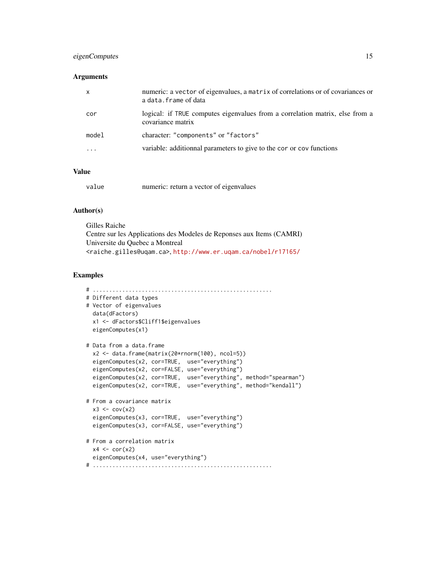### eigenComputes 15

### Arguments

| $\mathsf{x}$ | numeric: a vector of eigenvalues, a matrix of correlations or of covariances or<br>a data. frame of data |
|--------------|----------------------------------------------------------------------------------------------------------|
| cor          | logical: if TRUE computes eigenvalues from a correlation matrix, else from a<br>covariance matrix        |
| model        | character: "components" or "factors"                                                                     |
| .            | variable: additionnal parameters to give to the cor or cov functions                                     |
|              |                                                                                                          |

### Value

| value |  | numeric: return a vector of eigenvalues |
|-------|--|-----------------------------------------|
|-------|--|-----------------------------------------|

### Author(s)

Gilles Raiche Centre sur les Applications des Modeles de Reponses aux Items (CAMRI) Universite du Quebec a Montreal <raiche.gilles@uqam.ca>, <http://www.er.uqam.ca/nobel/r17165/>

#### Examples

```
# .......................................................
# Different data types
# Vector of eigenvalues
 data(dFactors)
 x1 <- dFactors$Cliff1$eigenvalues
 eigenComputes(x1)
# Data from a data.frame
 x2 <- data.frame(matrix(20*rnorm(100), ncol=5))
 eigenComputes(x2, cor=TRUE, use="everything")
 eigenComputes(x2, cor=FALSE, use="everything")
 eigenComputes(x2, cor=TRUE, use="everything", method="spearman")
 eigenComputes(x2, cor=TRUE, use="everything", method="kendall")
# From a covariance matrix
 x3 \leftarrow cov(x2)eigenComputes(x3, cor=TRUE, use="everything")
 eigenComputes(x3, cor=FALSE, use="everything")
# From a correlation matrix
 x4 \leftarrow cor(x2)eigenComputes(x4, use="everything")
# .......................................................
```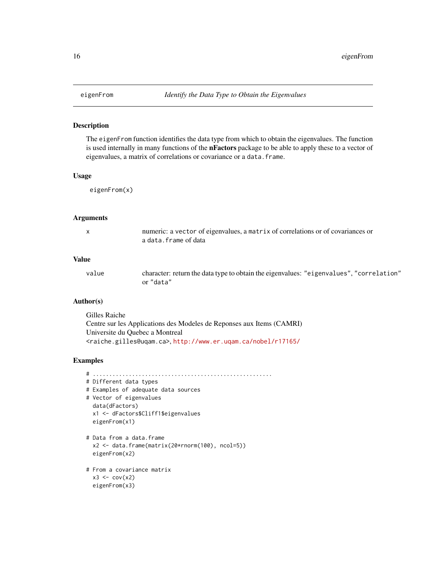#### Description

The eigenFrom function identifies the data type from which to obtain the eigenvalues. The function is used internally in many functions of the **nFactors** package to be able to apply these to a vector of eigenvalues, a matrix of correlations or covariance or a data.frame.

#### Usage

eigenFrom(x)

#### Arguments

| numeric: a vector of eigenvalues, a matrix of correlations or of covariances or |
|---------------------------------------------------------------------------------|
| a data.frame of data                                                            |

#### Value

value character: return the data type to obtain the eigenvalues: "eigenvalues", "correlation" or "data"

#### Author(s)

Gilles Raiche Centre sur les Applications des Modeles de Reponses aux Items (CAMRI) Universite du Quebec a Montreal <raiche.gilles@uqam.ca>, <http://www.er.uqam.ca/nobel/r17165/>

### Examples

```
# .......................................................
# Different data types
# Examples of adequate data sources
# Vector of eigenvalues
 data(dFactors)
 x1 <- dFactors$Cliff1$eigenvalues
 eigenFrom(x1)
# Data from a data.frame
 x2 <- data.frame(matrix(20*rnorm(100), ncol=5))
 eigenFrom(x2)
# From a covariance matrix
```

```
x3 \leftarrow cov(x2)eigenFrom(x3)
```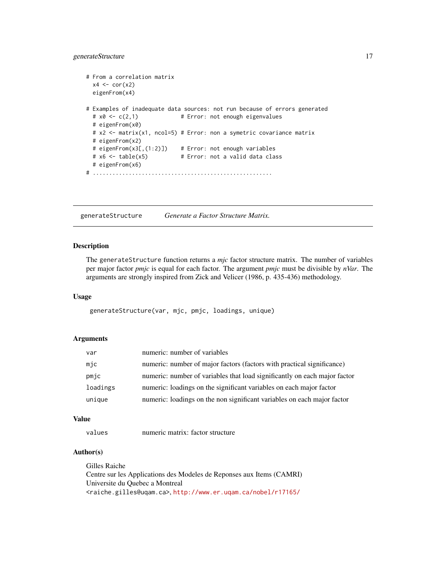### <span id="page-16-0"></span>generateStructure 17

```
# From a correlation matrix
 x4 \leftarrow cor(x2)eigenFrom(x4)
# Examples of inadequate data sources: not run because of errors generated
 # x0 <- c(2,1) # Error: not enough eigenvalues
 # eigenFrom(x0)
 # x2 <- matrix(x1, ncol=5) # Error: non a symetric covariance matrix
 # eigenFrom(x2)
 # eigenFrom(x3[,(1:2)]) # Error: not enough variables
 # x6 <- table(x5) # Error: not a valid data class
 # eigenFrom(x6)
# .......................................................
```
<span id="page-16-1"></span>generateStructure *Generate a Factor Structure Matrix.*

#### Description

The generateStructure function returns a *mjc* factor structure matrix. The number of variables per major factor *pmjc* is equal for each factor. The argument *pmjc* must be divisible by *nVar*. The arguments are strongly inspired from Zick and Velicer (1986, p. 435-436) methodology.

### Usage

generateStructure(var, mjc, pmjc, loadings, unique)

#### Arguments

| var      | numeric: number of variables                                              |
|----------|---------------------------------------------------------------------------|
| mnc      | numeric: number of major factors (factors with practical significance)    |
| pmjc     | numeric: number of variables that load significantly on each major factor |
| loadings | numeric: loadings on the significant variables on each major factor       |
| unique   | numeric: loadings on the non significant variables on each major factor   |

#### Value

values numeric matrix: factor structure

### Author(s)

Gilles Raiche Centre sur les Applications des Modeles de Reponses aux Items (CAMRI) Universite du Quebec a Montreal <raiche.gilles@uqam.ca>, <http://www.er.uqam.ca/nobel/r17165/>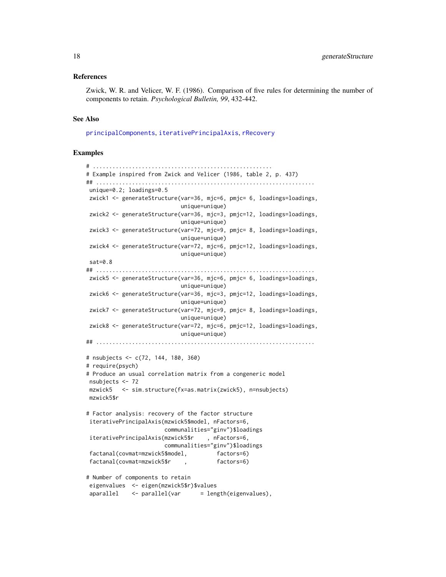#### <span id="page-17-0"></span>References

Zwick, W. R. and Velicer, W. F. (1986). Comparison of five rules for determining the number of components to retain. *Psychological Bulletin, 99*, 432-442.

#### See Also

[principalComponents](#page-51-1), [iterativePrincipalAxis](#page-18-1), [rRecovery](#page-53-1)

#### Examples

```
# .......................................................
# Example inspired from Zwick and Velicer (1986, table 2, p. 437)
## ...................................................................
unique=0.2; loadings=0.5
zwick1 <- generateStructure(var=36, mjc=6, pmjc= 6, loadings=loadings,
                            unique=unique)
zwick2 <- generateStructure(var=36, mjc=3, pmjc=12, loadings=loadings,
                            unique=unique)
zwick3 <- generateStructure(var=72, mjc=9, pmjc= 8, loadings=loadings,
                            unique=unique)
zwick4 <- generateStructure(var=72, mjc=6, pmjc=12, loadings=loadings,
                            unique=unique)
sat=0.8## ...................................................................
zwick5 <- generateStructure(var=36, mjc=6, pmjc= 6, loadings=loadings,
                            unique=unique)
zwick6 <- generateStructure(var=36, mjc=3, pmjc=12, loadings=loadings,
                            unique=unique)
zwick7 <- generateStructure(var=72, mjc=9, pmjc= 8, loadings=loadings,
                            unique=unique)
zwick8 <- generateStructure(var=72, mjc=6, pmjc=12, loadings=loadings,
                            unique=unique)
## ...................................................................
# nsubjects <- c(72, 144, 180, 360)
# require(psych)
# Produce an usual correlation matrix from a congeneric model
nsubjects <- 72
mzwick5 <- sim.structure(fx=as.matrix(zwick5), n=nsubjects)
mzwick5$r
# Factor analysis: recovery of the factor structure
iterativePrincipalAxis(mzwick5$model, nFactors=6,
                       communalities="ginv")$loadings
iterativePrincipalAxis(mzwick5$r , nFactors=6,
                       communalities="ginv")$loadings
factanal(covmat=mzwick5$model, factors=6)
factanal(covmat=mzwick5$r , factors=6)
# Number of components to retain
eigenvalues <- eigen(mzwick5$r)$values
aparallel <- parallel(var = length(eigenvalues),
```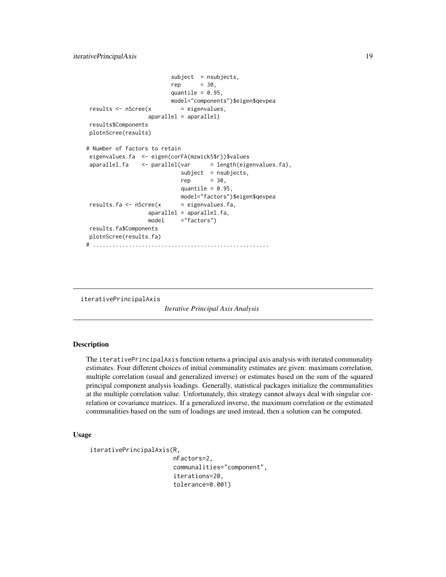```
subject = nsubjects,
                        rep = 30,
                        quantile = 0.95,
                        model="components")$eigen$qevpea
results \leq nScree(x = eigenvalues,
                 aparallel = aparallel)
results$Components
plotnScree(results)
# Number of factors to retain
eigenvalues.fa <- eigen(corFA(mzwick5$r))$values
aparallel.fa < -parallel(var = length(eigenvalues.fa)),
                           subject = nsubjects,
                           rep = 30,quantile = 0.95,
                           model="factors")$eigen$qevpea
results.fa <- nScree(x = eigenvalues.fa,
                 aparallel = aparallel.fa,
                 model ="factors")
results.fa$Components
plotnScree(results.fa)
# ......................................................
```
<span id="page-18-1"></span>iterativePrincipalAxis

*Iterative Principal Axis Analysis*

### **Description**

The iterativePrincipalAxis function returns a principal axis analysis with iterated communality estimates. Four different choices of initial communality estimates are given: maximum correlation, multiple correlation (usual and generalized inverse) or estimates based on the sum of the squared principal component analysis loadings. Generally, statistical packages initialize the communalities at the multiple correlation value. Unfortunately, this strategy cannot always deal with singular correlation or covariance matrices. If a generalized inverse, the maximum correlation or the estimated communalities based on the sum of loadings are used instead, then a solution can be computed.

### Usage

```
iterativePrincipalAxis(R,
```
nFactors=2, communalities="component", iterations=20, tolerance=0.001)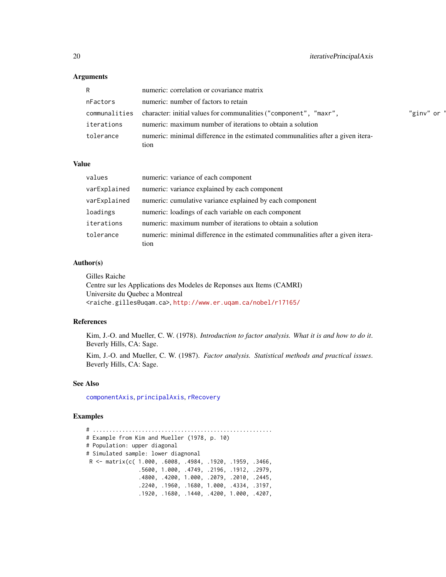### Arguments

| R.            | numeric: correlation or covariance matrix                                               |           |
|---------------|-----------------------------------------------------------------------------------------|-----------|
| nFactors      | numeric: number of factors to retain                                                    |           |
| communalities | character: initial values for communalities ("component", "maxr",                       | "ginv" or |
| iterations    | numeric: maximum number of iterations to obtain a solution                              |           |
| tolerance     | numeric: minimal difference in the estimated communalities after a given itera-<br>tion |           |

### Value

| values       | numeric: variance of each component                                                     |
|--------------|-----------------------------------------------------------------------------------------|
| varExplained | numeric: variance explained by each component                                           |
| varExplained | numeric: cumulative variance explained by each component                                |
| loadings     | numeric: loadings of each variable on each component                                    |
| iterations   | numeric: maximum number of iterations to obtain a solution                              |
| tolerance    | numeric: minimal difference in the estimated communalities after a given itera-<br>tion |

### Author(s)

| Gilles Raiche                                                                       |  |
|-------------------------------------------------------------------------------------|--|
| Centre sur les Applications des Modeles de Reponses aux Items (CAMRI)               |  |
| Universite du Quebec a Montreal                                                     |  |
| <raiche.gilles@ugam.ca>.http://www.er.ugam.ca/nobel/r17165/</raiche.gilles@ugam.ca> |  |

#### References

Kim, J.-O. and Mueller, C. W. (1978). *Introduction to factor analysis. What it is and how to do it*. Beverly Hills, CA: Sage.

Kim, J.-O. and Mueller, C. W. (1987). *Factor analysis. Statistical methods and practical issues*. Beverly Hills, CA: Sage.

#### See Also

[componentAxis](#page-6-1), [principalAxis](#page-50-1), [rRecovery](#page-53-1)

### Examples

# ....................................................... # Example from Kim and Mueller (1978, p. 10) # Population: upper diagonal # Simulated sample: lower diagnonal R <- matrix(c( 1.000, .6008, .4984, .1920, .1959, .3466, .5600, 1.000, .4749, .2196, .1912, .2979, .4800, .4200, 1.000, .2079, .2010, .2445, .2240, .1960, .1680, 1.000, .4334, .3197, .1920, .1680, .1440, .4200, 1.000, .4207,

<span id="page-19-0"></span>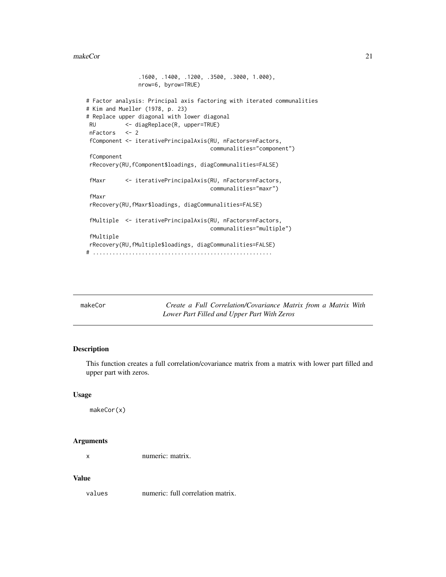#### <span id="page-20-0"></span>makeCor 21

```
.1600, .1400, .1200, .3500, .3000, 1.000),
               nrow=6, byrow=TRUE)
# Factor analysis: Principal axis factoring with iterated communalities
# Kim and Mueller (1978, p. 23)
# Replace upper diagonal with lower diagonal
RU <- diagReplace(R, upper=TRUE)
nFactors <- 2
fComponent <- iterativePrincipalAxis(RU, nFactors=nFactors,
                                     communalities="component")
fComponent
rRecovery(RU,fComponent$loadings, diagCommunalities=FALSE)
fMaxr <- iterativePrincipalAxis(RU, nFactors=nFactors,
                                     communalities="maxr")
fMaxr
rRecovery(RU,fMaxr$loadings, diagCommunalities=FALSE)
fMultiple <- iterativePrincipalAxis(RU, nFactors=nFactors,
                                     communalities="multiple")
fMultiple
rRecovery(RU,fMultiple$loadings, diagCommunalities=FALSE)
# .......................................................
```

| makeCor | Create a Full Correlation/Covariance Matrix from a Matrix With |
|---------|----------------------------------------------------------------|
|         | Lower Part Filled and Upper Part With Zeros                    |

### Description

This function creates a full correlation/covariance matrix from a matrix with lower part filled and upper part with zeros.

#### Usage

makeCor(x)

### Arguments

x numeric: matrix.

#### Value

values numeric: full correlation matrix.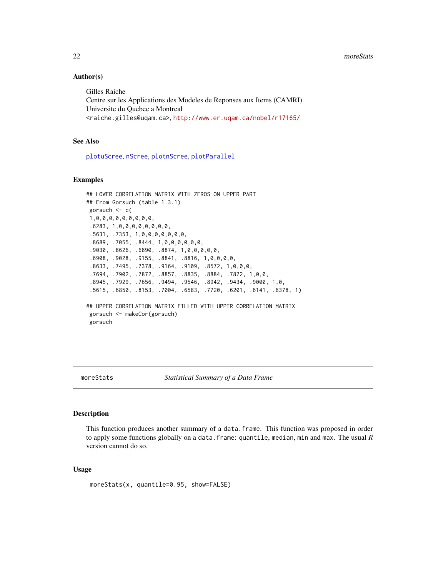### Author(s)

Gilles Raiche Centre sur les Applications des Modeles de Reponses aux Items (CAMRI) Universite du Quebec a Montreal <raiche.gilles@uqam.ca>, <http://www.er.uqam.ca/nobel/r17165/>

### See Also

[plotuScree](#page-48-1), [nScree](#page-36-1), [plotnScree](#page-45-1), [plotParallel](#page-47-1)

### Examples

```
## LOWER CORRELATION MATRIX WITH ZEROS ON UPPER PART
## From Gorsuch (table 1.3.1)
gorsuch <- c(
1,0,0,0,0,0,0,0,0,0,
 .6283, 1,0,0,0,0,0,0,0,0,
 .5631, .7353, 1,0,0,0,0,0,0,0,
 .8689, .7055, .8444, 1,0,0,0,0,0,0,
 .9030, .8626, .6890, .8874, 1,0,0,0,0,0,
 .6908, .9028, .9155, .8841, .8816, 1,0,0,0,0,
 .8633, .7495, .7378, .9164, .9109, .8572, 1,0,0,0,
 .7694, .7902, .7872, .8857, .8835, .8884, .7872, 1,0,0,
 .8945, .7929, .7656, .9494, .9546, .8942, .9434, .9000, 1,0,
 .5615, .6850, .8153, .7004, .6583, .7720, .6201, .6141, .6378, 1)
## UPPER CORRELATION MATRIX FILLED WITH UPPER CORRELATION MATRIX
gorsuch <- makeCor(gorsuch)
gorsuch
```
moreStats *Statistical Summary of a Data Frame*

#### **Description**

This function produces another summary of a data.frame. This function was proposed in order to apply some functions globally on a data.frame: quantile, median, min and max. The usual *R* version cannot do so.

#### Usage

```
moreStats(x, quantile=0.95, show=FALSE)
```
<span id="page-21-0"></span>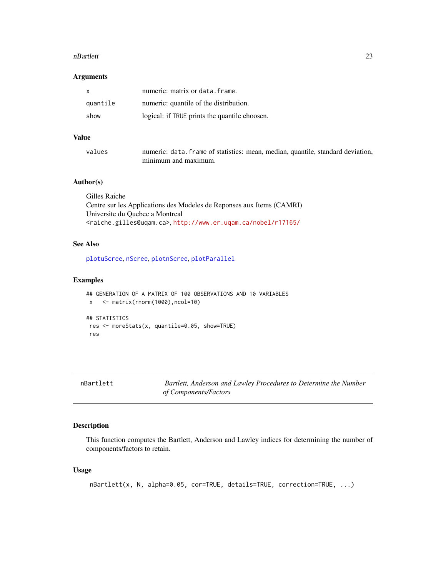#### <span id="page-22-0"></span>nBartlett 23

### Arguments

| $\mathbf{x}$ | numeric: matrix or data. frame.               |
|--------------|-----------------------------------------------|
| quantile     | numeric: quantile of the distribution.        |
| show         | logical: if TRUE prints the quantile choosen. |

### Value

| values | numeric: data. frame of statistics: mean, median, quantile, standard deviation, |
|--------|---------------------------------------------------------------------------------|
|        | minimum and maximum.                                                            |

### Author(s)

| Gilles Raiche                                                                       |
|-------------------------------------------------------------------------------------|
| Centre sur les Applications des Modeles de Reponses aux Items (CAMRI)               |
| Universite du Quebec a Montreal                                                     |
| <raiche.gilles@uqam.ca>.http://www.er.uqam.ca/nobel/r17165/</raiche.gilles@uqam.ca> |

### See Also

[plotuScree](#page-48-1), [nScree](#page-36-1), [plotnScree](#page-45-1), [plotParallel](#page-47-1)

### Examples

```
## GENERATION OF A MATRIX OF 100 OBSERVATIONS AND 10 VARIABLES
x <- matrix(rnorm(1000),ncol=10)
## STATISTICS
res <- moreStats(x, quantile=0.05, show=TRUE)
res
```
<span id="page-22-1"></span>nBartlett *Bartlett, Anderson and Lawley Procedures to Determine the Number of Components/Factors*

### Description

This function computes the Bartlett, Anderson and Lawley indices for determining the number of components/factors to retain.

### Usage

```
nBartlett(x, N, alpha=0.05, cor=TRUE, details=TRUE, correction=TRUE, ...)
```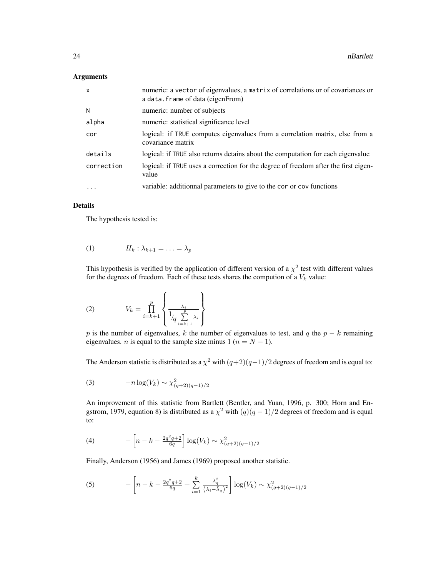#### Arguments

| $\mathsf{x}$ | numeric: a vector of eigenvalues, a matrix of correlations or of covariances or<br>a data. frame of data (eigenFrom) |
|--------------|----------------------------------------------------------------------------------------------------------------------|
| N            | numeric: number of subjects                                                                                          |
| alpha        | numeric: statistical significance level                                                                              |
| cor          | logical: if TRUE computes eigenvalues from a correlation matrix, else from a<br>covariance matrix                    |
| details      | logical: if TRUE also returns detains about the computation for each eigenvalue                                      |
| correction   | logical: if TRUE uses a correction for the degree of freedom after the first eigen-<br>value                         |
| .            | variable: additionnal parameters to give to the cor or cov functions                                                 |

### Details

The hypothesis tested is:

$$
(1) \t H_k: \lambda_{k+1} = \ldots = \lambda_p
$$

This hypothesis is verified by the application of different version of a  $\chi^2$  test with different values for the degrees of freedom. Each of these tests shares the compution of a  $V_k$  value:

$$
(2) \tV_k = \prod_{i=k+1}^p \left\{ \frac{\lambda_i}{1_{\sqrt{\frac{p}{2_{i=k+1}}}\lambda_i}} \right\}
$$

p is the number of eigenvalues, k the number of eigenvalues to test, and q the  $p - k$  remaining eigenvalues. *n* is equal to the sample size minus 1 ( $n = N - 1$ ).

The Anderson statistic is distributed as a  $\chi^2$  with  $(q+2)(q-1)/2$  degrees of freedom and is equal to:

(3) 
$$
-n \log(V_k) \sim \chi^2_{(q+2)(q-1)/2}
$$

An improvement of this statistic from Bartlett (Bentler, and Yuan, 1996, p. 300; Horn and Engstrom, 1979, equation 8) is distributed as a  $\chi^2$  with  $(q)(q-1)/2$  degrees of freedom and is equal to:

(4) 
$$
- \left[ n - k - \frac{2q^2q + 2}{6q} \right] \log(V_k) \sim \chi^2_{(q+2)(q-1)/2}
$$

Finally, Anderson (1956) and James (1969) proposed another statistic.

(5) 
$$
- \left[ n - k - \frac{2q^2q + 2}{6q} + \sum_{i=1}^k \frac{\bar{\lambda}_q^2}{(\lambda_i - \bar{\lambda}_q)^2} \right] \log(V_k) \sim \chi^2_{(q+2)(q-1)/2}
$$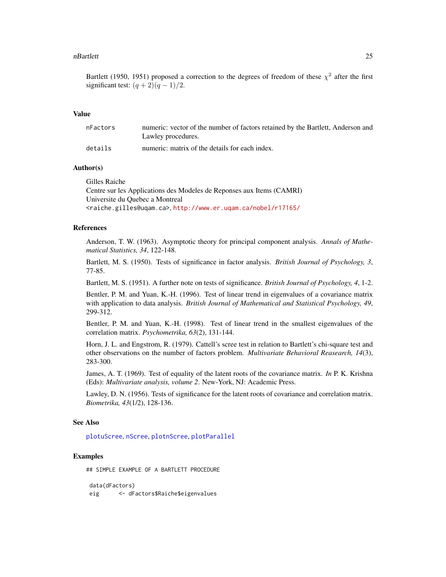#### <span id="page-24-0"></span>nBartlett 25

Bartlett (1950, 1951) proposed a correction to the degrees of freedom of these  $\chi^2$  after the first significant test:  $(q+2)(q-1)/2$ .

#### Value

| nFactors | numeric: vector of the number of factors retained by the Bartlett, Anderson and<br>Lawley procedures. |
|----------|-------------------------------------------------------------------------------------------------------|
| details  | numeric: matrix of the details for each index.                                                        |

### Author(s)

Gilles Raiche

Centre sur les Applications des Modeles de Reponses aux Items (CAMRI) Universite du Quebec a Montreal <raiche.gilles@uqam.ca>, <http://www.er.uqam.ca/nobel/r17165/>

### References

Anderson, T. W. (1963). Asymptotic theory for principal component analysis. *Annals of Mathematical Statistics, 34*, 122-148.

Bartlett, M. S. (1950). Tests of significance in factor analysis. *British Journal of Psychology, 3*, 77-85.

Bartlett, M. S. (1951). A further note on tests of significance. *British Journal of Psychology, 4*, 1-2.

Bentler, P. M. and Yuan, K.-H. (1996). Test of linear trend in eigenvalues of a covariance matrix with application to data analysis. *British Journal of Mathematical and Statistical Psychology, 49*, 299-312.

Bentler, P. M. and Yuan, K.-H. (1998). Test of linear trend in the smallest eigenvalues of the correlation matrix. *Psychometrika, 63*(2), 131-144.

Horn, J. L. and Engstrom, R. (1979). Cattell's scree test in relation to Bartlett's chi-square test and other observations on the number of factors problem. *Multivariate Behavioral Reasearch, 14*(3), 283-300.

James, A. T. (1969). Test of equality of the latent roots of the covariance matrix. *In* P. K. Krishna (Eds): *Multivariate analysis, volume 2*. New-York, NJ: Academic Press.

Lawley, D. N. (1956). Tests of significance for the latent roots of covariance and correlation matrix. *Biometrika, 43*(1/2), 128-136.

#### See Also

[plotuScree](#page-48-1), [nScree](#page-36-1), [plotnScree](#page-45-1), [plotParallel](#page-47-1)

#### Examples

## SIMPLE EXAMPLE OF A BARTLETT PROCEDURE

data(dFactors) eig <- dFactors\$Raiche\$eigenvalues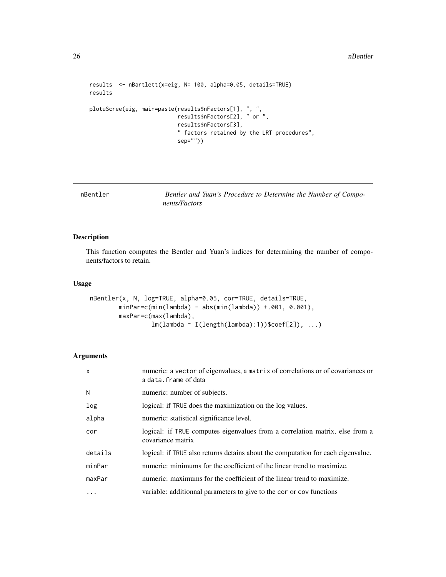```
results <- nBartlett(x=eig, N= 100, alpha=0.05, details=TRUE)
results
plotuScree(eig, main=paste(results$nFactors[1], ", ",
                           results$nFactors[2], " or ",
                           results$nFactors[3],
                           " factors retained by the LRT procedures",
                           sep=""))
```
<span id="page-25-1"></span>nBentler *Bentler and Yuan's Procedure to Determine the Number of Components/Factors*

### Description

This function computes the Bentler and Yuan's indices for determining the number of components/factors to retain.

### Usage

```
nBentler(x, N, log=TRUE, alpha=0.05, cor=TRUE, details=TRUE,
        minPar=c(min(lambda) - abs(min(lambda)) +.001, 0.001),
        maxPar=c(max(lambda),
                 lm(lambda ~ I(length(lambda):1))$coef[2]), ...)
```
### Arguments

| X          | numeric: a vector of eigenvalues, a matrix of correlations or of covariances or<br>a data. frame of data |
|------------|----------------------------------------------------------------------------------------------------------|
| N          | numeric: number of subjects.                                                                             |
| log        | logical: if TRUE does the maximization on the log values.                                                |
| alpha      | numeric: statistical significance level.                                                                 |
| cor        | logical: if TRUE computes eigenvalues from a correlation matrix, else from a<br>covariance matrix        |
| details    | logical: if TRUE also returns detains about the computation for each eigenvalue.                         |
| minPar     | numeric: minimums for the coefficient of the linear trend to maximize.                                   |
| maxPar     | numeric: maximums for the coefficient of the linear trend to maximize.                                   |
| $\ddots$ . | variable: additionnal parameters to give to the cor or cov functions                                     |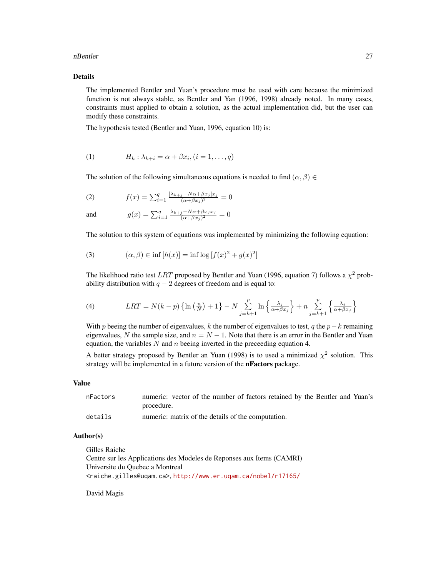#### nBentler 27

### Details

The implemented Bentler and Yuan's procedure must be used with care because the minimized function is not always stable, as Bentler and Yan (1996, 1998) already noted. In many cases, constraints must applied to obtain a solution, as the actual implementation did, but the user can modify these constraints.

The hypothesis tested (Bentler and Yuan, 1996, equation 10) is:

$$
(1) \tHk: \lambdak+i = \alpha + \beta xi, (i = 1, ..., q)
$$

The solution of the following simultaneous equations is needed to find  $(\alpha, \beta) \in$ 

(2) 
$$
f(x) = \sum_{i=1}^{q} \frac{[\lambda_{k+j} - N\alpha + \beta x_j]x_j}{(\alpha + \beta x_j)^2} = 0
$$

and 
$$
g(x) = \sum_{i=1}^{q} \frac{\lambda_{k+j} - N\alpha + \beta x_j x_j}{(\alpha + \beta x_j)^2} = 0
$$

The solution to this system of equations was implemented by minimizing the following equation:

(3) 
$$
(\alpha, \beta) \in \inf [h(x)] = \inf \log [f(x)^2 + g(x)^2]
$$

The likelihood ratio test LRT proposed by Bentler and Yuan (1996, equation 7) follows a  $\chi^2$  probability distribution with  $q - 2$  degrees of freedom and is equal to:

(4) 
$$
LRT = N(k-p) \left\{ \ln \left( \frac{n}{N} \right) + 1 \right\} - N \sum_{j=k+1}^{p} \ln \left\{ \frac{\lambda_j}{\alpha + \beta x_j} \right\} + n \sum_{j=k+1}^{p} \left\{ \frac{\lambda_j}{\alpha + \beta x_j} \right\}
$$

With p beeing the number of eigenvalues, k the number of eigenvalues to test, q the  $p-k$  remaining eigenvalues, N the sample size, and  $n = N - 1$ . Note that there is an error in the Bentler and Yuan equation, the variables  $N$  and  $n$  beeing inverted in the preceeding equation 4.

A better strategy proposed by Bentler an Yuan (1998) is to used a minimized  $\chi^2$  solution. This strategy will be implemented in a future version of the nFactors package.

#### Value

| nFactors | numeric: vector of the number of factors retained by the Bentler and Yuan's |
|----------|-----------------------------------------------------------------------------|
|          | procedure.                                                                  |
| details  | numeric: matrix of the details of the computation.                          |

#### Author(s)

Gilles Raiche

Centre sur les Applications des Modeles de Reponses aux Items (CAMRI) Universite du Quebec a Montreal <raiche.gilles@uqam.ca>, <http://www.er.uqam.ca/nobel/r17165/>

David Magis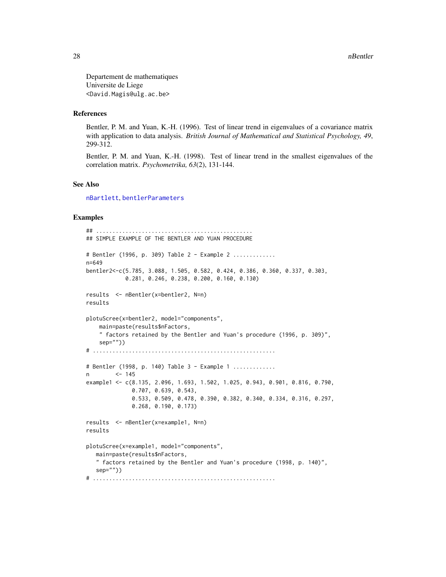<span id="page-27-0"></span>Departement de mathematiques Universite de Liege <David.Magis@ulg.ac.be>

### References

Bentler, P. M. and Yuan, K.-H. (1996). Test of linear trend in eigenvalues of a covariance matrix with application to data analysis. *British Journal of Mathematical and Statistical Psychology, 49*, 299-312.

Bentler, P. M. and Yuan, K.-H. (1998). Test of linear trend in the smallest eigenvalues of the correlation matrix. *Psychometrika, 63*(2), 131-144.

### See Also

[nBartlett](#page-22-1), [bentlerParameters](#page-3-1)

#### Examples

```
## ................................................
## SIMPLE EXAMPLE OF THE BENTLER AND YUAN PROCEDURE
# Bentler (1996, p. 309) Table 2 - Example 2 .............
n=649
bentler2<-c(5.785, 3.088, 1.505, 0.582, 0.424, 0.386, 0.360, 0.337, 0.303,
            0.281, 0.246, 0.238, 0.200, 0.160, 0.130)
results <- nBentler(x=bentler2, N=n)
results
plotuScree(x=bentler2, model="components",
    main=paste(results$nFactors,
    " factors retained by the Bentler and Yuan's procedure (1996, p. 309)",
    sep=""))
# ........................................................
# Bentler (1998, p. 140) Table 3 - Example 1 .............
n <- 145
example1 <- c(8.135, 2.096, 1.693, 1.502, 1.025, 0.943, 0.901, 0.816, 0.790,
              0.707, 0.639, 0.543,
              0.533, 0.509, 0.478, 0.390, 0.382, 0.340, 0.334, 0.316, 0.297,
              0.268, 0.190, 0.173)
results <- nBentler(x=example1, N=n)
results
plotuScree(x=example1, model="components",
   main=paste(results$nFactors,
   " factors retained by the Bentler and Yuan's procedure (1998, p. 140)",
   sep=""))
# ........................................................
```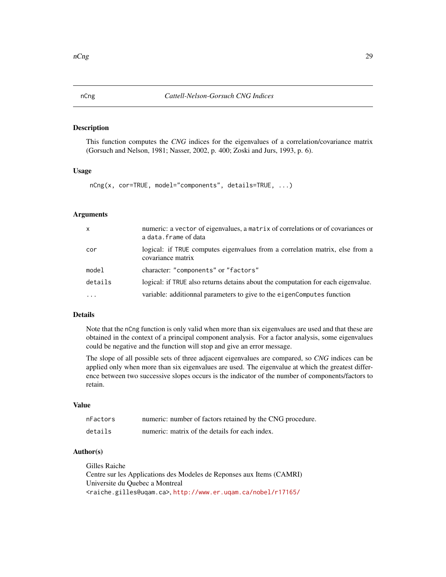<span id="page-28-1"></span><span id="page-28-0"></span>

### Description

This function computes the *CNG* indices for the eigenvalues of a correlation/covariance matrix (Gorsuch and Nelson, 1981; Nasser, 2002, p. 400; Zoski and Jurs, 1993, p. 6).

#### Usage

```
nCng(x, cor=TRUE, model="components", details=TRUE, ...)
```
#### Arguments

| $\mathsf{x}$ | numeric: a vector of eigenvalues, a matrix of correlations or of covariances or<br>a data. frame of data |
|--------------|----------------------------------------------------------------------------------------------------------|
| cor          | logical: if TRUE computes eigenvalues from a correlation matrix, else from a<br>covariance matrix        |
| model        | character: "components" or "factors"                                                                     |
| details      | logical: if TRUE also returns detains about the computation for each eigenvalue.                         |
| $\ddotsc$    | variable: additionnal parameters to give to the eigenComputes function                                   |

### Details

Note that the nCng function is only valid when more than six eigenvalues are used and that these are obtained in the context of a principal component analysis. For a factor analysis, some eigenvalues could be negative and the function will stop and give an error message.

The slope of all possible sets of three adjacent eigenvalues are compared, so *CNG* indices can be applied only when more than six eigenvalues are used. The eigenvalue at which the greatest difference between two successive slopes occurs is the indicator of the number of components/factors to retain.

### Value

| nFactors | numeric: number of factors retained by the CNG procedure. |
|----------|-----------------------------------------------------------|
| details  | numeric: matrix of the details for each index.            |

### Author(s)

Gilles Raiche

Centre sur les Applications des Modeles de Reponses aux Items (CAMRI) Universite du Quebec a Montreal <raiche.gilles@uqam.ca>, <http://www.er.uqam.ca/nobel/r17165/>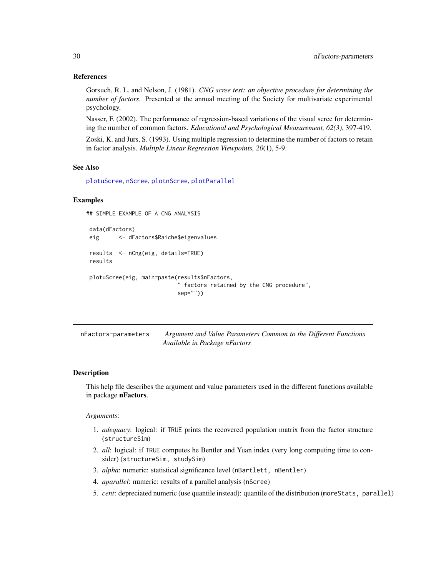#### <span id="page-29-0"></span>References

Gorsuch, R. L. and Nelson, J. (1981). *CNG scree test: an objective procedure for determining the number of factors*. Presented at the annual meeting of the Society for multivariate experimental psychology.

Nasser, F. (2002). The performance of regression-based variations of the visual scree for determining the number of common factors. *Educational and Psychological Measurement, 62(3)*, 397-419.

Zoski, K. and Jurs, S. (1993). Using multiple regression to determine the number of factors to retain in factor analysis. *Multiple Linear Regression Viewpoints, 20*(1), 5-9.

### See Also

[plotuScree](#page-48-1), [nScree](#page-36-1), [plotnScree](#page-45-1), [plotParallel](#page-47-1)

#### Examples

```
## SIMPLE EXAMPLE OF A CNG ANALYSIS
data(dFactors)
eig <- dFactors$Raiche$eigenvalues
results <- nCng(eig, details=TRUE)
results
plotuScree(eig, main=paste(results$nFactors,
                            " factors retained by the CNG procedure",
                           sep=""))
```

| nFactors-parameters | Argument and Value Parameters Common to the Different Functions |
|---------------------|-----------------------------------------------------------------|
|                     | Available in Package nFactors                                   |

#### Description

This help file describes the argument and value parameters used in the different functions available in package nFactors.

*Arguments*:

- 1. *adequacy*: logical: if TRUE prints the recovered population matrix from the factor structure (structureSim)
- 2. *all*: logical: if TRUE computes he Bentler and Yuan index (very long computing time to consider) (structureSim, studySim)
- 3. *alpha*: numeric: statistical significance level (nBartlett, nBentler)
- 4. *aparallel*: numeric: results of a parallel analysis (nScree)
- 5. *cent*: depreciated numeric (use quantile instead): quantile of the distribution (moreStats, parallel)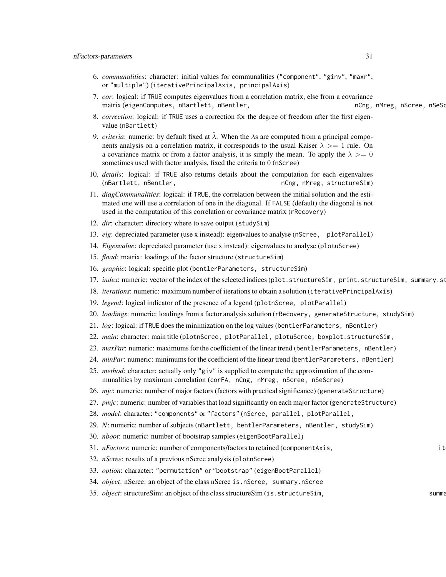- 6. *communalities*: character: initial values for communalities ("component", "ginv", "maxr", or "multiple") (iterativePrincipalAxis, principalAxis)
- 7. *cor*: logical: if TRUE computes eigenvalues from a correlation matrix, else from a covariance matrix (eigenComputes, nBartlett, nBentler, ncng, nCng, nMreg, nScree, nSeScree, nSeScree, nSeScree, nSeSc
- 8. *correction*: logical: if TRUE uses a correction for the degree of freedom after the first eigenvalue (nBartlett)
- 9. *criteria*: numeric: by default fixed at  $\lambda$ . When the  $\lambda$ s are computed from a principal components analysis on a correlation matrix, it corresponds to the usual Kaiser  $\lambda \geq 1$  rule. On a covariance matrix or from a factor analysis, it is simply the mean. To apply the  $\lambda \geq 0$ sometimes used with factor analysis, fixed the criteria to 0 (nScree)
- 10. *details*: logical: if TRUE also returns details about the computation for each eigenvalues (nBartlett, nBentler, now included a natural new nCng, nMreg, structureSim)
- 11. *diagCommunalities*: logical: if TRUE, the correlation between the initial solution and the estimated one will use a correlation of one in the diagonal. If FALSE (default) the diagonal is not used in the computation of this correlation or covariance matrix (rRecovery)
- 12. *dir*: character: directory where to save output (studySim)
- 13. *eig*: depreciated parameter (use x instead): eigenvalues to analyse (nScree, plotParallel)
- 14. *Eigenvalue*: depreciated parameter (use x instead): eigenvalues to analyse (plotuScree)
- 15. *fload*: matrix: loadings of the factor structure (structureSim)
- 16. *graphic*: logical: specific plot (bentlerParameters, structureSim)
- 17. *index*: numeric: vector of the index of the selected indices (plot.structureSim, print.structureSim, summary.st
- 18. *iterations*: numeric: maximum number of iterations to obtain a solution (iterativePrincipalAxis)
- 19. *legend*: logical indicator of the presence of a legend (plotnScree, plotParallel)
- 20. *loadings*: numeric: loadings from a factor analysis solution (rRecovery, generateStructure, studySim)
- 21. *log*: logical: if TRUE does the minimization on the log values (bentlerParameters, nBentler)
- 22. *main*: character: main title (plotnScree, plotParallel, plotuScree, boxplot.structureSim,
- 23. *maxPar*: numeric: maximums for the coefficient of the linear trend (bentlerParameters, nBentler)
- 24. *minPar*: numeric: minimums for the coefficient of the linear trend (bentlerParameters, nBentler)
- 25. *method*: character: actually only "giv" is supplied to compute the approximation of the communalities by maximum correlation (corFA, nCng, nMreg, nScree, nSeScree)
- 26. *mjc*: numeric: number of major factors (factors with practical significance) (generateStructure)
- 27. *pmjc*: numeric: number of variables that load significantly on each major factor (generateStructure)
- 28. *model*: character: "components" or "factors" (nScree, parallel, plotParallel,
- 29. *N*: numeric: number of subjects (nBartlett, bentlerParameters, nBentler, studySim)
- 30. *nboot*: numeric: number of bootstrap samples (eigenBootParallel)
- 31. *nFactors*: numeric: number of components/factors to retained (componentAxis, iterative) it
- 32. *nScree*: results of a previous nScree analysis (plotnScree)
- 33. *option*: character: "permutation" or "bootstrap" (eigenBootParallel)
- 34. *object*: nScree: an object of the class nScree is.nScree, summary.nScree
- 35. *object*: structureSim: an object of the class structureSim (is.structureSim, summary.structureSim)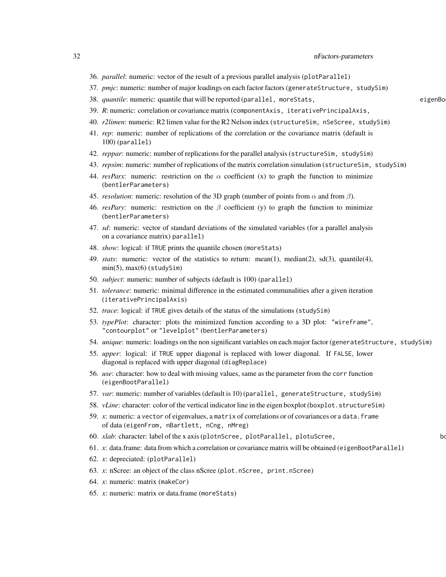- 36. *parallel*: numeric: vector of the result of a previous parallel analysis (plotParallel)
- 37. *pmjc*: numeric: number of major loadings on each factor factors (generateStructure, studySim)
- 38. *quantile*: numeric: quantile that will be reported (parallel, moreStats, eigenBootParallel, structureSim eigenBoot
- 39. *R*: numeric: correlation or covariance matrix (componentAxis, iterativePrincipalAxis,
- 40. *r2limen*: numeric: R2 limen value for the R2 Nelson index (structureSim, nSeScree, studySim)
- 41. *rep*: numeric: number of replications of the correlation or the covariance matrix (default is 100) (parallel)
- 42. *reppar*: numeric: number of replications for the parallel analysis (structureSim, studySim)
- 43. *repsim*: numeric: number of replications of the matrix correlation simulation (structureSim, studySim)
- 44. *resParx*: numeric: restriction on the  $\alpha$  coefficient (x) to graph the function to minimize (bentlerParameters)
- 45. *resolution*: numeric: resolution of the 3D graph (number of points from  $\alpha$  and from  $\beta$ ).
- 46. *resPary*: numeric: restriction on the β coefficient (y) to graph the function to minimize (bentlerParameters)
- 47. *sd*: numeric: vector of standard deviations of the simulated variables (for a parallel analysis on a covariance matrix) parallel)
- 48. *show*: logical: if TRUE prints the quantile chosen (moreStats)
- 49. *stats*: numeric: vector of the statistics to return: mean(1), median(2), sd(3), quantile(4), min(5), max(6) (studySim)
- 50. *subject*: numeric: number of subjects (default is 100) (parallel)
- 51. *tolerance*: numeric: minimal difference in the estimated communalities after a given iteration (iterativePrincipalAxis)
- 52. *trace*: logical: if TRUE gives details of the status of the simulations (studySim)
- 53. *typePlot*: character: plots the minimized function according to a 3D plot: "wireframe", "contourplot" or "levelplot" (bentlerParameters)
- 54. *unique*: numeric: loadings on the non significant variables on each major factor (generateStructure, studySim)
- 55. *upper*: logical: if TRUE upper diagonal is replaced with lower diagonal. If FALSE, lower diagonal is replaced with upper diagonal (diagReplace)
- 56. *use*: character: how to deal with missing values, same as the parameter from the corr function (eigenBootParallel)
- 57. *var*: numeric: number of variables (default is 10) (parallel, generateStructure, studySim)
- 58. *vLine*: character: color of the vertical indicator line in the eigen boxplot (boxplot.structureSim)
- 59. *x*: numeric: a vector of eigenvalues, a matrix of correlations or of covariances or a data.frame of data (eigenFrom, nBartlett, nCng, nMreg)
- 60. *xlab*: character: label of the x axis (plotnScree, plotParallel, plotuScree,
- 61. *x*: data.frame: data from which a correlation or covariance matrix will be obtained (eigenBootParallel)
- 62. *x*: depreciated: (plotParallel)
- 63. *x*: nScree: an object of the class nScree (plot.nScree, print.nScree)
- 64. *x*: numeric: matrix (makeCor)
- 65. *x*: numeric: matrix or data.frame (moreStats)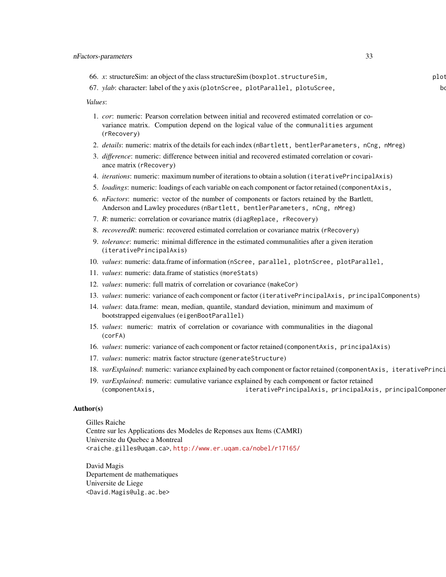| plot                                                                                                                                                                                    |
|-----------------------------------------------------------------------------------------------------------------------------------------------------------------------------------------|
|                                                                                                                                                                                         |
|                                                                                                                                                                                         |
| 1. cor: numeric: Pearson correlation between initial and recovered estimated correlation or co-<br>variance matrix. Compution depend on the logical value of the communalities argument |
| 2. <i>details:</i> numeric: matrix of the details for each index (nBartlett, bentlerParameters, nCng, nMreg)                                                                            |
| 3. difference: numeric: difference between initial and recovered estimated correlation or covari-                                                                                       |
| 4. <i>iterations</i> : numeric: maximum number of iterations to obtain a solution (iterativePrincipalAxis)                                                                              |
| 5. loadings: numeric: loadings of each variable on each component or factor retained (component Axis,                                                                                   |
| 6. <i>nFactors</i> : numeric: vector of the number of components or factors retained by the Bartlett,<br>Anderson and Lawley procedures (nBartlett, bentlerParameters, nCng, nMreg)     |
|                                                                                                                                                                                         |
| 8. recoveredR: numeric: recovered estimated correlation or covariance matrix (rRecovery)                                                                                                |
| 9. tolerance: numeric: minimal difference in the estimated communalities after a given iteration                                                                                        |
| 10. values: numeric: data.frame of information (nScree, parallel, plotnScree, plotParallel,                                                                                             |
|                                                                                                                                                                                         |
|                                                                                                                                                                                         |
| 13. values: numeric: variance of each component or factor (iterativePrincipalAxis, principalComponents)                                                                                 |
| 14. values: data.frame: mean, median, quantile, standard deviation, minimum and maximum of                                                                                              |
|                                                                                                                                                                                         |

- 15. *values*: numeric: matrix of correlation or covariance with communalities in the diagonal (corFA)
- 16. *values*: numeric: variance of each component or factor retained (componentAxis, principalAxis)
- 17. *values*: numeric: matrix factor structure (generateStructure)
- 18. *varExplained*: numeric: variance explained by each component or factor retained (componentAxis, iterativePrinci
- 19. *varExplained*: numeric: cumulative variance explained by each component or factor retained (componentAxis, iterativePrincipalAxis, principalAxis, principalComponent

### Author(s)

Gilles Raiche Centre sur les Applications des Modeles de Reponses aux Items (CAMRI) Universite du Quebec a Montreal <raiche.gilles@uqam.ca>, <http://www.er.uqam.ca/nobel/r17165/>

David Magis Departement de mathematiques Universite de Liege <David.Magis@ulg.ac.be>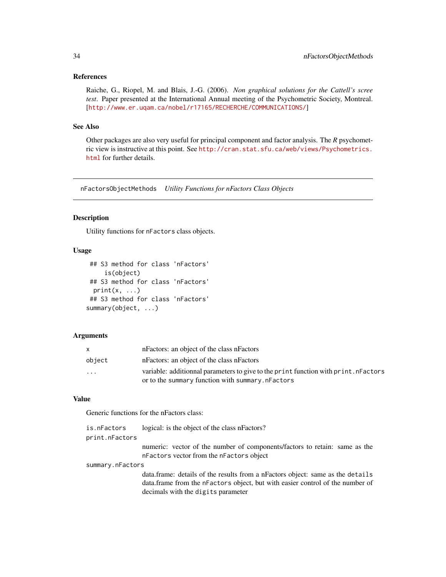#### <span id="page-33-0"></span>References

Raiche, G., Riopel, M. and Blais, J.-G. (2006). *Non graphical solutions for the Cattell's scree test*. Paper presented at the International Annual meeting of the Psychometric Society, Montreal. [<http://www.er.uqam.ca/nobel/r17165/RECHERCHE/COMMUNICATIONS/>]

#### See Also

Other packages are also very useful for principal component and factor analysis. The *R* psychometric view is instructive at this point. See [http://cran.stat.sfu.ca/web/views/Psychometrics.](http://cran.stat.sfu.ca/web/views/Psychometrics.html) [html](http://cran.stat.sfu.ca/web/views/Psychometrics.html) for further details.

nFactorsObjectMethods *Utility Functions for nFactors Class Objects*

### Description

Utility functions for nFactors class objects.

### Usage

```
## S3 method for class 'nFactors'
     is(object)
## S3 method for class 'nFactors'
 print(x, \ldots)## S3 method for class 'nFactors'
summary(object, ...)
```
#### Arguments

|                         | n Factors: an object of the class n Factors                                         |
|-------------------------|-------------------------------------------------------------------------------------|
| object                  | nFactors: an object of the class nFactors                                           |
| $\cdot$ $\cdot$ $\cdot$ | variable: additionnal parameters to give to the print function with print. nFactors |
|                         | or to the summary function with summary. nFactors                                   |

### Value

Generic functions for the nFactors class:

| is.nFactors      | logical: is the object of the class nFactors?                                                                                                                                                            |
|------------------|----------------------------------------------------------------------------------------------------------------------------------------------------------------------------------------------------------|
| print.nFactors   |                                                                                                                                                                                                          |
|                  | numeric: vector of the number of components/factors to retain: same as the<br>nFactors vector from the nFactors object                                                                                   |
| summary.nFactors |                                                                                                                                                                                                          |
|                  | data. frame: details of the results from a nFactors object: same as the details<br>data. frame from the nF actors object, but with easier control of the number of<br>decimals with the digits parameter |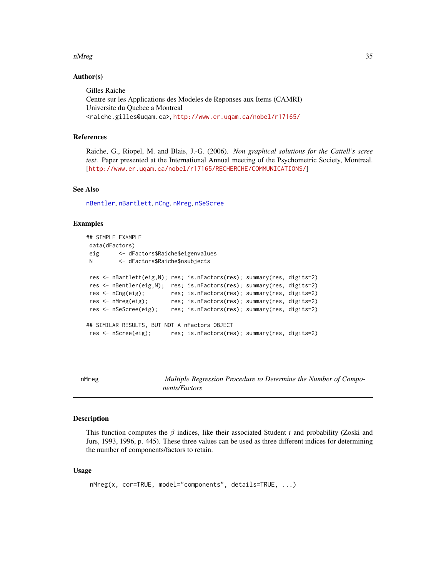#### <span id="page-34-0"></span>nMreg 35

#### Author(s)

Gilles Raiche Centre sur les Applications des Modeles de Reponses aux Items (CAMRI) Universite du Quebec a Montreal <raiche.gilles@uqam.ca>, <http://www.er.uqam.ca/nobel/r17165/>

#### References

Raiche, G., Riopel, M. and Blais, J.-G. (2006). *Non graphical solutions for the Cattell's scree test*. Paper presented at the International Annual meeting of the Psychometric Society, Montreal. [<http://www.er.uqam.ca/nobel/r17165/RECHERCHE/COMMUNICATIONS/>]

### See Also

[nBentler](#page-25-1), [nBartlett](#page-22-1), [nCng](#page-28-1), [nMreg](#page-34-1), [nSeScree](#page-41-1)

### Examples

```
## SIMPLE EXAMPLE
data(dFactors)
eig <- dFactors$Raiche$eigenvalues
N <- dFactors$Raiche$nsubjects
res <- nBartlett(eig,N); res; is.nFactors(res); summary(res, digits=2)
res <- nBentler(eig,N); res; is.nFactors(res); summary(res, digits=2)
res <- nCng(eig); res; is.nFactors(res); summary(res, digits=2)
res <- nMreg(eig); res; is.nFactors(res); summary(res, digits=2)
res <- nSeScree(eig); res; is.nFactors(res); summary(res, digits=2)
## SIMILAR RESULTS, BUT NOT A nFactors OBJECT
res <- nScree(eig); res; is.nFactors(res); summary(res, digits=2)
```
<span id="page-34-1"></span>

| Λ<br>ш |  |
|--------|--|
|--------|--|

Multiple Regression Procedure to Determine the Number of Compo*nents/Factors*

#### Description

This function computes the β indices, like their associated Student *t* and probability (Zoski and Jurs, 1993, 1996, p. 445). These three values can be used as three different indices for determining the number of components/factors to retain.

#### Usage

```
nMreg(x, cor=TRUE, model="components", details=TRUE, ...)
```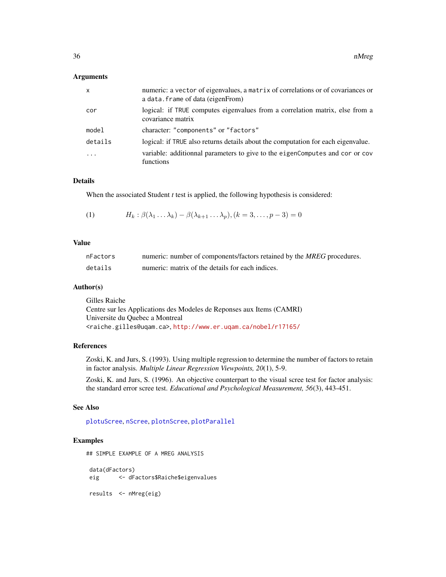#### <span id="page-35-0"></span>Arguments

| $\mathsf{x}$ | numeric: a vector of eigenvalues, a matrix of correlations or of covariances or<br>a data. frame of data (eigenFrom) |
|--------------|----------------------------------------------------------------------------------------------------------------------|
| cor          | logical: if TRUE computes eigenvalues from a correlation matrix, else from a<br>covariance matrix                    |
| model        | character: "components" or "factors"                                                                                 |
| details      | logical: if TRUE also returns details about the computation for each eigenvalue.                                     |
|              | variable: additionnal parameters to give to the eigenComputes and cor or cov<br>functions                            |

### Details

When the associated Student *t* test is applied, the following hypothesis is considered:

(1) 
$$
H_k: \beta(\lambda_1 \ldots \lambda_k) - \beta(\lambda_{k+1} \ldots \lambda_p), (k = 3, \ldots, p-3) = 0
$$

### Value

| nFactors | numeric: number of components/factors retained by the MREG procedures. |
|----------|------------------------------------------------------------------------|
| details  | numeric: matrix of the details for each indices.                       |

#### Author(s)

Gilles Raiche Centre sur les Applications des Modeles de Reponses aux Items (CAMRI) Universite du Quebec a Montreal <raiche.gilles@uqam.ca>, <http://www.er.uqam.ca/nobel/r17165/>

#### References

Zoski, K. and Jurs, S. (1993). Using multiple regression to determine the number of factors to retain in factor analysis. *Multiple Linear Regression Viewpoints, 20*(1), 5-9.

Zoski, K. and Jurs, S. (1996). An objective counterpart to the visual scree test for factor analysis: the standard error scree test. *Educational and Psychological Measurement, 56*(3), 443-451.

#### See Also

[plotuScree](#page-48-1), [nScree](#page-36-1), [plotnScree](#page-45-1), [plotParallel](#page-47-1)

### Examples

## SIMPLE EXAMPLE OF A MREG ANALYSIS data(dFactors) eig <- dFactors\$Raiche\$eigenvalues results <- nMreg(eig)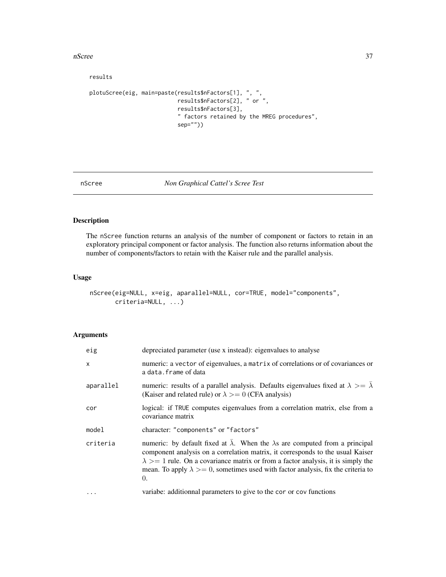<span id="page-36-0"></span>nScree 37

results

```
plotuScree(eig, main=paste(results$nFactors[1], ", ",
                           results$nFactors[2], " or ",
                           results$nFactors[3],
                           " factors retained by the MREG procedures",
                           sep=""))
```

```
nScree Non Graphical Cattel's Scree Test
```
### Description

The nScree function returns an analysis of the number of component or factors to retain in an exploratory principal component or factor analysis. The function also returns information about the number of components/factors to retain with the Kaiser rule and the parallel analysis.

### Usage

```
nScree(eig=NULL, x=eig, aparallel=NULL, cor=TRUE, model="components",
       criteria=NULL, ...)
```
#### Arguments

| eig          | depreciated parameter (use x instead): eigenvalues to analyse                                                                                                                                                                                                                                                                                                                           |
|--------------|-----------------------------------------------------------------------------------------------------------------------------------------------------------------------------------------------------------------------------------------------------------------------------------------------------------------------------------------------------------------------------------------|
| $\mathsf{x}$ | numeric: a vector of eigenvalues, a matrix of correlations or of covariances or<br>a data.frame of data                                                                                                                                                                                                                                                                                 |
| aparallel    | numeric: results of a parallel analysis. Defaults eigenvalues fixed at $\lambda >= \overline{\lambda}$<br>(Kaiser and related rule) or $\lambda \ge 0$ (CFA analysis)                                                                                                                                                                                                                   |
| cor          | logical: if TRUE computes eigenvalues from a correlation matrix, else from a<br>covariance matrix                                                                                                                                                                                                                                                                                       |
| model        | character: "components" or "factors"                                                                                                                                                                                                                                                                                                                                                    |
| criteria     | numeric: by default fixed at $\overline{\lambda}$ . When the $\lambda$ s are computed from a principal<br>component analysis on a correlation matrix, it corresponds to the usual Kaiser<br>$\lambda$ >= 1 rule. On a covariance matrix or from a factor analysis, it is simply the<br>mean. To apply $\lambda \geq 0$ , sometimes used with factor analysis, fix the criteria to<br>0. |
| $\cdots$     | variabe: additionnal parameters to give to the cor or cov functions                                                                                                                                                                                                                                                                                                                     |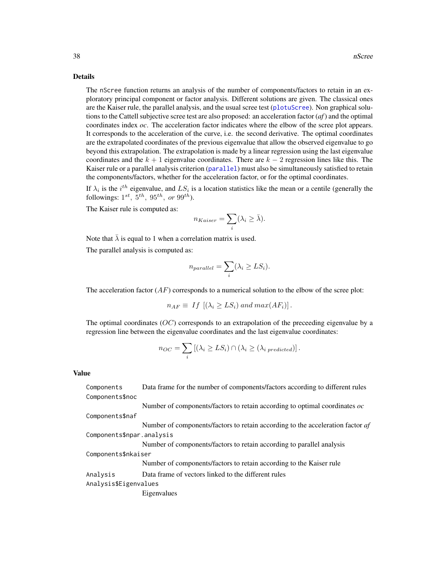#### <span id="page-37-0"></span>Details

The nScree function returns an analysis of the number of components/factors to retain in an exploratory principal component or factor analysis. Different solutions are given. The classical ones are the Kaiser rule, the parallel analysis, and the usual scree test ([plotuScree](#page-48-1)). Non graphical solutions to the Cattell subjective scree test are also proposed: an acceleration factor (*af*) and the optimal coordinates index *oc*. The acceleration factor indicates where the elbow of the scree plot appears. It corresponds to the acceleration of the curve, i.e. the second derivative. The optimal coordinates are the extrapolated coordinates of the previous eigenvalue that allow the observed eigenvalue to go beyond this extrapolation. The extrapolation is made by a linear regression using the last eigenvalue coordinates and the  $k + 1$  eigenvalue coordinates. There are  $k - 2$  regression lines like this. The Kaiser rule or a parallel analysis criterion ([parallel](#page-43-1)) must also be simultaneously satisfied to retain the components/factors, whether for the acceleration factor, or for the optimal coordinates.

If  $\lambda_i$  is the  $i^{th}$  eigenvalue, and  $LS_i$  is a location statistics like the mean or a centile (generally the followings:  $1^{st}$ ,  $5^{th}$ ,  $95^{th}$ , or  $99^{th}$ ).

The Kaiser rule is computed as:

$$
n_{Kaiser} = \sum_{i} (\lambda_i \ge \bar{\lambda}).
$$

Note that  $\bar{\lambda}$  is equal to 1 when a correlation matrix is used. The parallel analysis is computed as:

$$
n_{parallel} = \sum_{i} (\lambda_i \ge LS_i).
$$

The acceleration factor  $(AF)$  corresponds to a numerical solution to the elbow of the scree plot:

$$
n_{AF} \equiv If \left[ (\lambda_i \geq LS_i) \text{ and } max(AF_i) \right].
$$

The optimal coordinates ( $OC$ ) corresponds to an extrapolation of the preceeding eigenvalue by a regression line between the eigenvalue coordinates and the last eigenvalue coordinates:

$$
n_{OC} = \sum_{i} \left[ (\lambda_i \geq LS_i) \cap (\lambda_i \geq (\lambda_i \text{ predicted}) \right].
$$

### Value

| Components                | Data frame for the number of components/factors according to different rules   |
|---------------------------|--------------------------------------------------------------------------------|
| Components\$noc           |                                                                                |
|                           | Number of components/factors to retain according to optimal coordinates $oc$   |
| Components\$naf           |                                                                                |
|                           | Number of components/factors to retain according to the acceleration factor af |
| Components\$npar.analysis |                                                                                |
|                           | Number of components/factors to retain according to parallel analysis          |
| Components\$nkaiser       |                                                                                |
|                           | Number of components/factors to retain according to the Kaiser rule            |
| Analysis                  | Data frame of vectors linked to the different rules                            |
| Analysis\$Eigenvalues     |                                                                                |
|                           | Eigenvalues                                                                    |
|                           |                                                                                |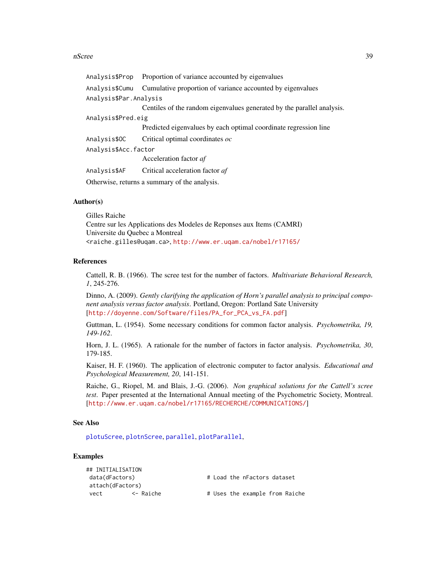#### <span id="page-38-0"></span>nScree 39

|                        | Analysis\$Prop Proportion of variance accounted by eigenvalues         |
|------------------------|------------------------------------------------------------------------|
| Analysis\$Cumu         | Cumulative proportion of variance accounted by eigenvalues             |
| Analysis\$Par.Analysis |                                                                        |
|                        | Centiles of the random eigenvalues generated by the parallel analysis. |
| Analysis\$Pred.eig     |                                                                        |
|                        | Predicted eigenvalues by each optimal coordinate regression line       |
| Analysis\$OC           | Critical optimal coordinates oc                                        |
| Analysis\$Acc.factor   |                                                                        |
|                        | Acceleration factor af                                                 |
| Analysis\$AF           | Critical acceleration factor af                                        |
|                        | Otherwise, returns a summary of the analysis.                          |

#### Author(s)

Gilles Raiche Centre sur les Applications des Modeles de Reponses aux Items (CAMRI) Universite du Quebec a Montreal <raiche.gilles@uqam.ca>, <http://www.er.uqam.ca/nobel/r17165/>

#### References

Cattell, R. B. (1966). The scree test for the number of factors. *Multivariate Behavioral Research, 1*, 245-276.

Dinno, A. (2009). *Gently clarifying the application of Horn's parallel analysis to principal component analysis versus factor analysis*. Portland, Oregon: Portland Sate University [[http://doyenne.com/Software/files/PA\\_for\\_PCA\\_vs\\_FA.pdf](http://doyenne.com/Software/files/PA_for_PCA_vs_FA.pdf)]

Guttman, L. (1954). Some necessary conditions for common factor analysis. *Psychometrika, 19, 149-162*.

Horn, J. L. (1965). A rationale for the number of factors in factor analysis. *Psychometrika, 30*, 179-185.

Kaiser, H. F. (1960). The application of electronic computer to factor analysis. *Educational and Psychological Measurement, 20*, 141-151.

Raiche, G., Riopel, M. and Blais, J.-G. (2006). *Non graphical solutions for the Cattell's scree test*. Paper presented at the International Annual meeting of the Psychometric Society, Montreal. [<http://www.er.uqam.ca/nobel/r17165/RECHERCHE/COMMUNICATIONS/>]

#### See Also

[plotuScree](#page-48-1), [plotnScree](#page-45-1), [parallel](#page-43-1), [plotParallel](#page-47-1),

#### Examples

| ## INITIALISATION |           |                                |
|-------------------|-----------|--------------------------------|
| data(dFactors)    |           | # Load the nFactors dataset    |
| attach(dFactors)  |           |                                |
| vect              | <- Raiche | # Uses the example from Raiche |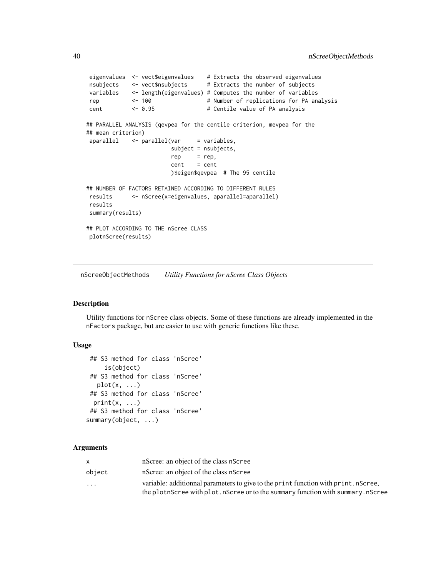```
eigenvalues <- vect$eigenvalues # Extracts the observed eigenvalues
nsubjects <- vect$nsubjects # Extracts the number of subjects
variables <- length(eigenvalues) # Computes the number of variables
rep <- 100 # Number of replications for PA analysis
cent <- 0.95 # Centile value of PA analysis
## PARALLEL ANALYSIS (qevpea for the centile criterion, mevpea for the
## mean criterion)
aparallel \leftarrow parallel(var = variables,subject = nsubjects,
                       rep = rep,cent = cent)$eigen$qevpea # The 95 centile
## NUMBER OF FACTORS RETAINED ACCORDING TO DIFFERENT RULES
results <- nScree(x=eigenvalues, aparallel=aparallel)
results
summary(results)
## PLOT ACCORDING TO THE nScree CLASS
plotnScree(results)
```
nScreeObjectMethods *Utility Functions for nScree Class Objects*

### **Description**

Utility functions for nScree class objects. Some of these functions are already implemented in the nFactors package, but are easier to use with generic functions like these.

### Usage

```
## S3 method for class 'nScree'
     is(object)
## S3 method for class 'nScree'
  plot(x, \ldots)## S3 method for class 'nScree'
 print(x, \ldots)## S3 method for class 'nScree'
summary(object, ...)
```
#### Arguments

|                         | nScree: an object of the class nScree                                              |
|-------------------------|------------------------------------------------------------------------------------|
| object                  | nScree: an object of the class nScree                                              |
| $\cdot$ $\cdot$ $\cdot$ | variable: additionnal parameters to give to the print function with print. nScree, |
|                         | the plotnScree with plot. nScree or to the summary function with summary. nScree   |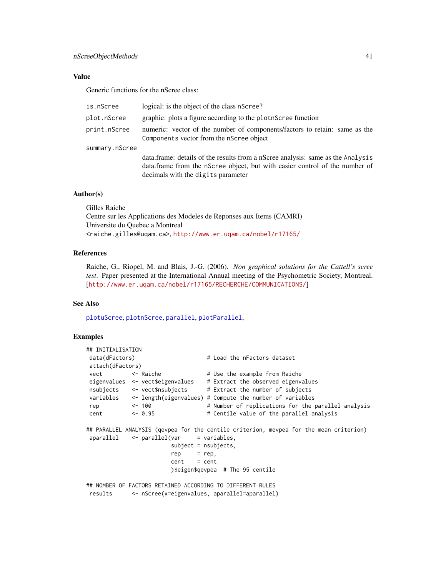### <span id="page-40-0"></span>nScreeObjectMethods 41

### Value

Generic functions for the nScree class:

| is.nScree      | logical: is the object of the class nScree?                                                                                                                                                          |
|----------------|------------------------------------------------------------------------------------------------------------------------------------------------------------------------------------------------------|
| plot.nScree    | graphic: plots a figure according to the plotn Scree function                                                                                                                                        |
| print.nScree   | numeric: vector of the number of components/factors to retain: same as the<br>Components vector from the nScree object                                                                               |
| summary.nScree | data.frame: details of the results from a nScree analysis: same as the Analysis<br>data.frame from the nScree object, but with easier control of the number of<br>decimals with the digits parameter |

#### Author(s)

Gilles Raiche Centre sur les Applications des Modeles de Reponses aux Items (CAMRI) Universite du Quebec a Montreal <raiche.gilles@uqam.ca>, <http://www.er.uqam.ca/nobel/r17165/>

#### References

Raiche, G., Riopel, M. and Blais, J.-G. (2006). *Non graphical solutions for the Cattell's scree test*. Paper presented at the International Annual meeting of the Psychometric Society, Montreal. [<http://www.er.uqam.ca/nobel/r17165/RECHERCHE/COMMUNICATIONS/>]

### See Also

[plotuScree](#page-48-1), [plotnScree](#page-45-1), [parallel](#page-43-1), [plotParallel](#page-47-1),

#### Examples

```
## INITIALISATION
data(dFactors) # Load the nFactors dataset
attach(dFactors)
vect <- Raiche # Use the example from Raiche
eigenvalues <- vect$eigenvalues # Extract the observed eigenvalues
nsubjects <- vect$nsubjects # Extract the number of subjects
variables <- length(eigenvalues) # Compute the number of variables
rep <- 100 # Number of replications for the parallel analysis
cent <- 0.95 # Centile value of the parallel analysis
## PARALLEL ANALYSIS (qevpea for the centile criterion, mevpea for the mean criterion)
aparallel \leftarrow parallel(var = variables,subject = nsubjects,
                      rep = rep,cent = cent)$eigen$qevpea # The 95 centile
## NOMBER OF FACTORS RETAINED ACCORDING TO DIFFERENT RULES
results <- nScree(x=eigenvalues, aparallel=aparallel)
```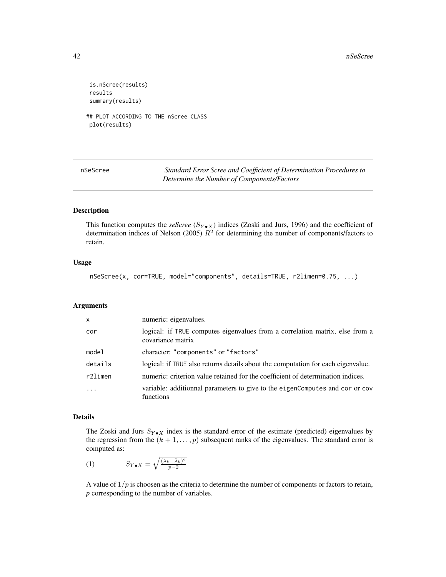```
is.nScree(results)
results
summary(results)
## PLOT ACCORDING TO THE nScree CLASS
plot(results)
```
<span id="page-41-1"></span>

| nSeScree | Standard Error Scree and Coefficient of Determination Procedures to |
|----------|---------------------------------------------------------------------|
|          | Determine the Number of Components/Factors                          |

### Description

This function computes the *seScree* ( $S_{Y \cdot X}$ ) indices (Zoski and Jurs, 1996) and the coefficient of determination indices of Nelson (2005)  $R^2$  for determining the number of components/factors to retain.

#### Usage

nSeScree(x, cor=TRUE, model="components", details=TRUE, r2limen=0.75, ...)

#### Arguments

| $\mathsf{x}$ | numeric: eigenvalues.                                                                             |
|--------------|---------------------------------------------------------------------------------------------------|
| cor          | logical: if TRUE computes eigenvalues from a correlation matrix, else from a<br>covariance matrix |
| model        | character: "components" or "factors"                                                              |
| details      | logical: if TRUE also returns details about the computation for each eigenvalue.                  |
| r2limen      | numeric: criterion value retained for the coefficient of determination indices.                   |
| $\ddots$     | variable: additionnal parameters to give to the eigenComputes and cor or cov<br>functions         |

### Details

The Zoski and Jurs  $S_{Y\bullet X}$  index is the standard error of the estimate (predicted) eigenvalues by the regression from the  $(k + 1, \ldots, p)$  subsequent ranks of the eigenvalues. The standard error is computed as:

(1)  $S_{Y \bullet X} = \sqrt{\frac{(\lambda_k - \hat{\lambda}_k)^2}{n-2}}$  $\overline{p-2}$ 

A value of  $1/p$  is choosen as the criteria to determine the number of components or factors to retain, *p* corresponding to the number of variables.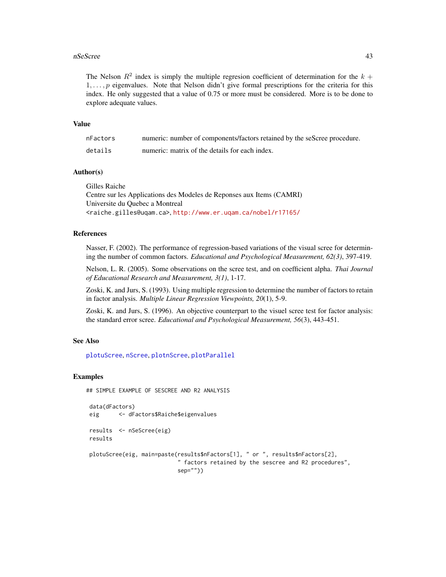#### <span id="page-42-0"></span>nSeScree 43

The Nelson  $R^2$  index is simply the multiple regresion coefficient of determination for the  $k +$  $1, \ldots, p$  eigenvalues. Note that Nelson didn't give formal prescriptions for the criteria for this index. He only suggested that a value of 0.75 or more must be considered. More is to be done to explore adequate values.

### Value

| nFactors | numeric: number of components/factors retained by the seScree procedure. |
|----------|--------------------------------------------------------------------------|
| details  | numeric: matrix of the details for each index.                           |

### Author(s)

Gilles Raiche Centre sur les Applications des Modeles de Reponses aux Items (CAMRI) Universite du Quebec a Montreal <raiche.gilles@uqam.ca>, <http://www.er.uqam.ca/nobel/r17165/>

#### References

Nasser, F. (2002). The performance of regression-based variations of the visual scree for determining the number of common factors. *Educational and Psychological Measurement, 62(3)*, 397-419.

Nelson, L. R. (2005). Some observations on the scree test, and on coefficient alpha. *Thai Journal of Educational Research and Measurement, 3(1)*, 1-17.

Zoski, K. and Jurs, S. (1993). Using multiple regression to determine the number of factors to retain in factor analysis. *Multiple Linear Regression Viewpoints, 20*(1), 5-9.

Zoski, K. and Jurs, S. (1996). An objective counterpart to the visuel scree test for factor analysis: the standard error scree. *Educational and Psychological Measurement, 56*(3), 443-451.

### See Also

[plotuScree](#page-48-1), [nScree](#page-36-1), [plotnScree](#page-45-1), [plotParallel](#page-47-1)

#### Examples

```
## SIMPLE EXAMPLE OF SESCREE AND R2 ANALYSIS
data(dFactors)
eig <- dFactors$Raiche$eigenvalues
```

```
results <- nSeScree(eig)
results
```

```
plotuScree(eig, main=paste(results$nFactors[1], " or ", results$nFactors[2],
                           " factors retained by the sescree and R2 procedures",
                           sep=""))
```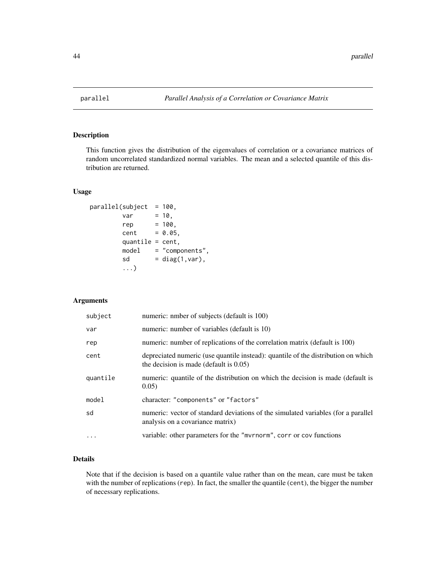<span id="page-43-1"></span><span id="page-43-0"></span>

### Description

This function gives the distribution of the eigenvalues of correlation or a covariance matrices of random uncorrelated standardized normal variables. The mean and a selected quantile of this distribution are returned.

#### Usage

```
parallel(subject = 100,var = 10,rep = 100,cent = 0.05,quantile = cent,
       model = "components",
       sd = diag(1, var),...)
```
### Arguments

| subject  | numeric: nmber of subjects (default is 100)                                                                                    |
|----------|--------------------------------------------------------------------------------------------------------------------------------|
| var      | numeric: number of variables (default is 10)                                                                                   |
| rep      | numeric: number of replications of the correlation matrix (default is 100)                                                     |
| cent     | depreciated numeric (use quantile instead): quantile of the distribution on which<br>the decision is made (default is $0.05$ ) |
| quantile | numeric: quantile of the distribution on which the decision is made (default is<br>0.05)                                       |
| model    | character: "components" or "factors"                                                                                           |
| sd       | numeric: vector of standard deviations of the simulated variables (for a parallel<br>analysis on a covariance matrix)          |
|          | variable: other parameters for the "mvrnorm", corr or cov functions                                                            |

### Details

Note that if the decision is based on a quantile value rather than on the mean, care must be taken with the number of replications (rep). In fact, the smaller the quantile (cent), the bigger the number of necessary replications.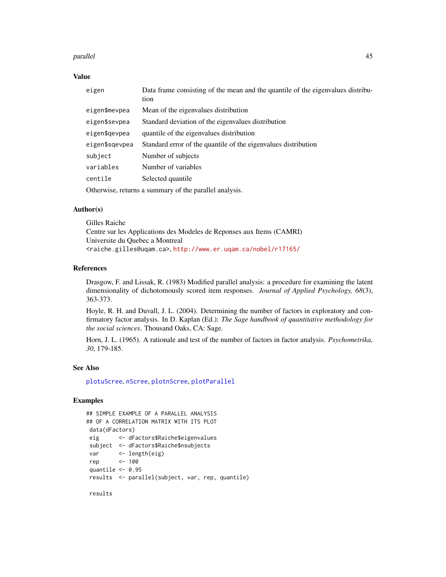#### <span id="page-44-0"></span>parallel the contract of the contract of the contract of the contract of the contract of the contract of the contract of the contract of the contract of the contract of the contract of the contract of the contract of the c

### Value

| eigen                                                  | Data frame consisting of the mean and the quantile of the eigenvalues distribu-<br>tion |
|--------------------------------------------------------|-----------------------------------------------------------------------------------------|
| eigen\$mevpea                                          | Mean of the eigenvalues distribution                                                    |
| eigen\$sevpea                                          | Standard deviation of the eigenvalues distribution                                      |
| eigen\$gevpea                                          | quantile of the eigenvalues distribution                                                |
| eigen\$sqevpea                                         | Standard error of the quantile of the eigenvalues distribution                          |
| subject                                                | Number of subjects                                                                      |
| variables                                              | Number of variables                                                                     |
| centile                                                | Selected quantile                                                                       |
| Otherwise, returns a summary of the parallel analysis. |                                                                                         |

### Author(s)

Gilles Raiche Centre sur les Applications des Modeles de Reponses aux Items (CAMRI) Universite du Quebec a Montreal <raiche.gilles@uqam.ca>, <http://www.er.uqam.ca/nobel/r17165/>

### References

Drasgow, F. and Lissak, R. (1983) Modified parallel analysis: a procedure for examining the latent dimensionality of dichotomously scored item responses. *Journal of Applied Psychology, 68*(3), 363-373.

Hoyle, R. H. and Duvall, J. L. (2004). Determining the number of factors in exploratory and confirmatory factor analysis. In D. Kaplan (Ed.): *The Sage handbook of quantitative methodology for the social sciences*. Thousand Oaks, CA: Sage.

Horn, J. L. (1965). A rationale and test of the number of factors in factor analysis. *Psychometrika, 30*, 179-185.

#### See Also

[plotuScree](#page-48-1), [nScree](#page-36-1), [plotnScree](#page-45-1), [plotParallel](#page-47-1)

### Examples

```
## SIMPLE EXAMPLE OF A PARALLEL ANALYSIS
## OF A CORRELATION MATRIX WITH ITS PLOT
data(dFactors)
eig <- dFactors$Raiche$eigenvalues
subject <- dFactors$Raiche$nsubjects
var <- length(eig)
rep <- 100
quantile <-0.95results <- parallel(subject, var, rep, quantile)
```
results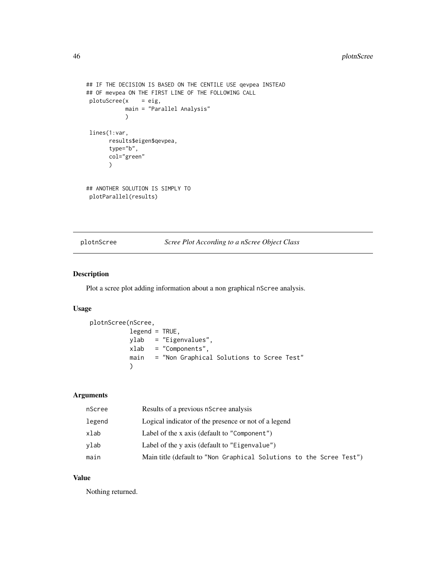```
## IF THE DECISION IS BASED ON THE CENTILE USE qevpea INSTEAD
## OF mevpea ON THE FIRST LINE OF THE FOLLOWING CALL
plotuScreen(x = eig,main = "Parallel Analysis"
            \lambdalines(1:var,
      results$eigen$qevpea,
       type="b",
       col="green"
       )
## ANOTHER SOLUTION IS SIMPLY TO
plotParallel(results)
```
<span id="page-45-1"></span>plotnScree *Scree Plot According to a nScree Object Class*

### Description

Plot a scree plot adding information about a non graphical nScree analysis.

### Usage

```
plotnScree(nScree,
           legend = TRUE,
           ylab = "Eigenvalues",
           xlab = "Components",
           main = "Non Graphical Solutions to Scree Test"
           \mathcal{L}
```
### Arguments

| nScree | Results of a previous nScree analysis                               |
|--------|---------------------------------------------------------------------|
| legend | Logical indicator of the presence or not of a legend                |
| xlab   | Label of the x axis (default to "Component")                        |
| ylab   | Label of the y axis (default to "Eigenvalue")                       |
| main   | Main title (default to "Non Graphical Solutions to the Scree Test") |

## Value

Nothing returned.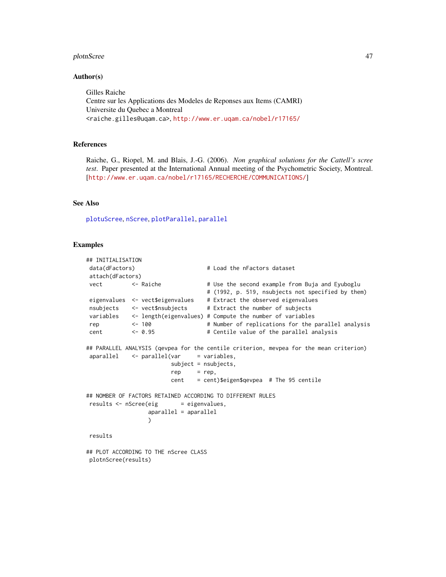#### <span id="page-46-0"></span>plotnScree 47

#### Author(s)

Gilles Raiche Centre sur les Applications des Modeles de Reponses aux Items (CAMRI) Universite du Quebec a Montreal <raiche.gilles@uqam.ca>, <http://www.er.uqam.ca/nobel/r17165/>

### References

Raiche, G., Riopel, M. and Blais, J.-G. (2006). *Non graphical solutions for the Cattell's scree test*. Paper presented at the International Annual meeting of the Psychometric Society, Montreal. [<http://www.er.uqam.ca/nobel/r17165/RECHERCHE/COMMUNICATIONS/>]

### See Also

[plotuScree](#page-48-1), [nScree](#page-36-1), [plotParallel](#page-47-1), [parallel](#page-43-1)

### Examples

```
## INITIALISATION
data(dFactors) # Load the nFactors dataset
attach(dFactors)
vect <- Raiche # Use the second example from Buja and Eyuboglu
                                 # (1992, p. 519, nsubjects not specified by them)
eigenvalues <- vect$eigenvalues # Extract the observed eigenvalues
nsubjects <- vect$nsubjects # Extract the number of subjects
variables <- length(eigenvalues) # Compute the number of variables
rep <- 100 < # Number of replications for the parallel analysis
cent <- 0.95 # Centile value of the parallel analysis
## PARALLEL ANALYSIS (qevpea for the centile criterion, mevpea for the mean criterion)
aparallel \leftarrow parallel(var = variables,subject = nsubjects,
                       rep = rep,cent = cent)$eigen$qevpea # The 95 centile
## NOMBER OF FACTORS RETAINED ACCORDING TO DIFFERENT RULES
results \leftarrow nScreen(eig = eigenvvalues,aparallel = aparallel
                 \lambdaresults
## PLOT ACCORDING TO THE nScree CLASS
```
plotnScree(results)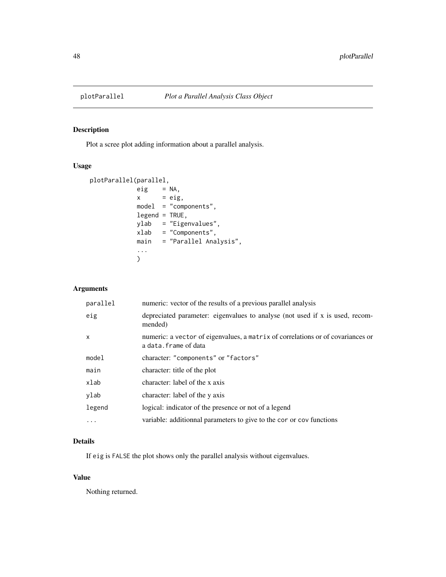<span id="page-47-1"></span><span id="page-47-0"></span>

### Description

Plot a scree plot adding information about a parallel analysis.

### Usage

```
plotParallel(parallel,
            eig = NA,x = eig,
            model = "components",
            legend = TRUE,ylab = "Eigenvalues",
            xlab = "Components",
            main = "Parallel Analysis",
            ...
            )
```
### Arguments

| parallel | numeric: vector of the results of a previous parallel analysis                                           |
|----------|----------------------------------------------------------------------------------------------------------|
| eig      | depreciated parameter: eigenvalues to analyse (not used if x is used, recom-<br>mended)                  |
| x        | numeric: a vector of eigenvalues, a matrix of correlations or of covariances or<br>a data. frame of data |
| model    | character: "components" or "factors"                                                                     |
| main     | character: title of the plot                                                                             |
| xlab     | character: label of the x axis                                                                           |
| ylab     | character: label of the y axis                                                                           |
| legend   | logical: indicator of the presence or not of a legend                                                    |
| $\cdots$ | variable: additionnal parameters to give to the cor or cov functions                                     |

### Details

If eig is FALSE the plot shows only the parallel analysis without eigenvalues.

### Value

Nothing returned.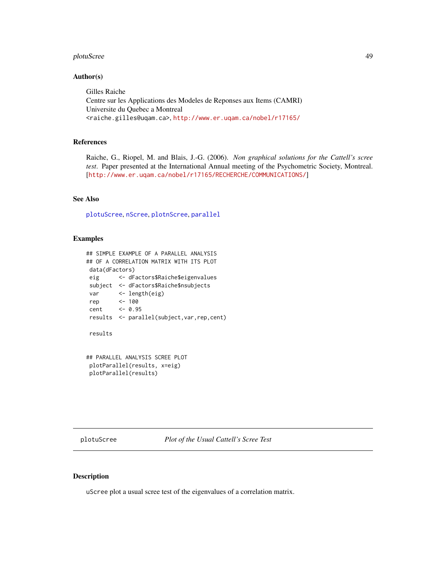#### <span id="page-48-0"></span>plotuScree 49

#### Author(s)

Gilles Raiche Centre sur les Applications des Modeles de Reponses aux Items (CAMRI) Universite du Quebec a Montreal <raiche.gilles@uqam.ca>, <http://www.er.uqam.ca/nobel/r17165/>

### References

Raiche, G., Riopel, M. and Blais, J.-G. (2006). *Non graphical solutions for the Cattell's scree test*. Paper presented at the International Annual meeting of the Psychometric Society, Montreal. [<http://www.er.uqam.ca/nobel/r17165/RECHERCHE/COMMUNICATIONS/>]

### See Also

[plotuScree](#page-48-1), [nScree](#page-36-1), [plotnScree](#page-45-1), [parallel](#page-43-1)

#### Examples

```
## SIMPLE EXAMPLE OF A PARALLEL ANALYSIS
## OF A CORRELATION MATRIX WITH ITS PLOT
data(dFactors)
eig <- dFactors$Raiche$eigenvalues
subject <- dFactors$Raiche$nsubjects
var <- length(eig)
rep <- 100
cent <- 0.95
results <- parallel(subject,var,rep,cent)
results
## PARALLEL ANALYSIS SCREE PLOT
plotParallel(results, x=eig)
```
<span id="page-48-1"></span>

plotParallel(results)

#### Description

uScree plot a usual scree test of the eigenvalues of a correlation matrix.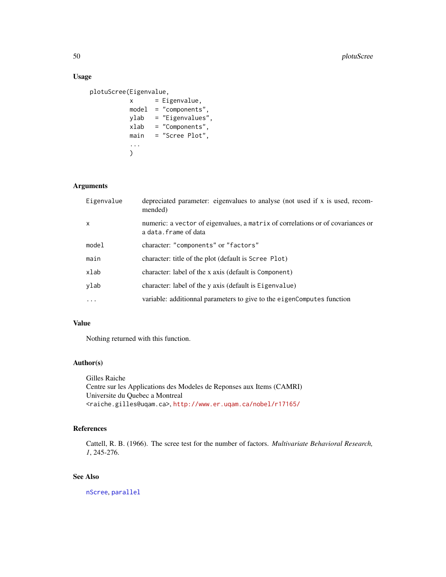### Usage

```
plotuScree(Eigenvalue,
          x = Eigenvalue,model = "components",
          ylab = "Eigenvalues",
           xlab = "Components",
           main = "Scree Plot",
           ...
           \mathcal{L}
```
### Arguments

| Eigenvalue   | depreciated parameter: eigenvalues to analyse (not used if x is used, recom-<br>mended)                 |
|--------------|---------------------------------------------------------------------------------------------------------|
| $\mathsf{x}$ | numeric: a vector of eigenvalues, a matrix of correlations or of covariances or<br>a data.frame of data |
| model        | character: "components" or "factors"                                                                    |
| main         | character: title of the plot (default is Scree Plot)                                                    |
| xlab         | character: label of the x axis (default is Component)                                                   |
| ylab         | character: label of the y axis (default is Eigenvalue)                                                  |
| .            | variable: additionnal parameters to give to the eigenComputes function                                  |

#### Value

Nothing returned with this function.

### Author(s)

Gilles Raiche Centre sur les Applications des Modeles de Reponses aux Items (CAMRI) Universite du Quebec a Montreal <raiche.gilles@uqam.ca>, <http://www.er.uqam.ca/nobel/r17165/>

### References

Cattell, R. B. (1966). The scree test for the number of factors. *Multivariate Behavioral Research, 1*, 245-276.

### See Also

[nScree](#page-36-1), [parallel](#page-43-1)

<span id="page-49-0"></span>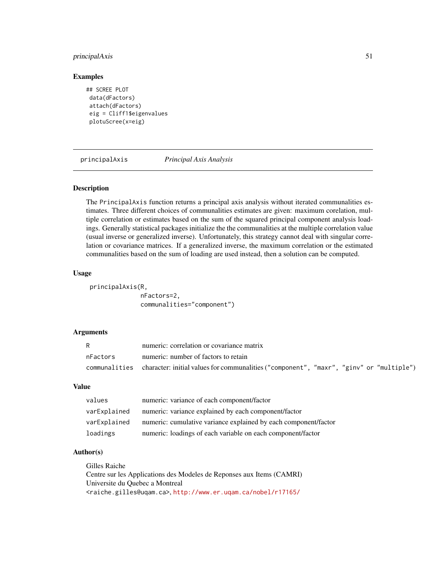### <span id="page-50-0"></span>principalAxis 51

#### Examples

```
## SCREE PLOT
data(dFactors)
attach(dFactors)
eig = Cliff1$eigenvalues
plotuScree(x=eig)
```
<span id="page-50-1"></span>principalAxis *Principal Axis Analysis*

### Description

The PrincipalAxis function returns a principal axis analysis without iterated communalities estimates. Three different choices of communalities estimates are given: maximum corelation, multiple correlation or estimates based on the sum of the squared principal component analysis loadings. Generally statistical packages initialize the the communalities at the multiple correlation value (usual inverse or generalized inverse). Unfortunately, this strategy cannot deal with singular correlation or covariance matrices. If a generalized inverse, the maximum correlation or the estimated communalities based on the sum of loading are used instead, then a solution can be computed.

#### Usage

principalAxis(R, nFactors=2, communalities="component")

### Arguments

|          | numeric: correlation or covariance matrix                                                             |
|----------|-------------------------------------------------------------------------------------------------------|
| nFactors | numeric: number of factors to retain                                                                  |
|          | communalities character: initial values for communalities ("component", "maxr", "ginv" or "multiple") |

#### Value

| values       | numeric: variance of each component/factor                      |
|--------------|-----------------------------------------------------------------|
| varExplained | numeric: variance explained by each component/factor            |
| varExplained | numeric: cumulative variance explained by each component/factor |
| loadings     | numeric: loadings of each variable on each component/factor     |

### Author(s)

Gilles Raiche Centre sur les Applications des Modeles de Reponses aux Items (CAMRI) Universite du Quebec a Montreal <raiche.gilles@uqam.ca>, <http://www.er.uqam.ca/nobel/r17165/>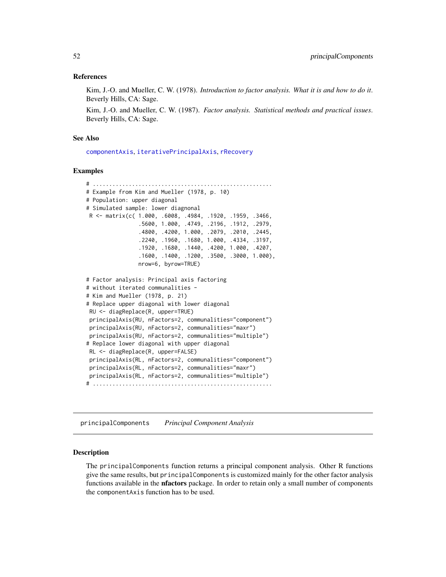#### <span id="page-51-0"></span>References

Kim, J.-O. and Mueller, C. W. (1978). *Introduction to factor analysis. What it is and how to do it*. Beverly Hills, CA: Sage.

Kim, J.-O. and Mueller, C. W. (1987). *Factor analysis. Statistical methods and practical issues*. Beverly Hills, CA: Sage.

#### See Also

[componentAxis](#page-6-1), [iterativePrincipalAxis](#page-18-1), [rRecovery](#page-53-1)

#### Examples

```
# .......................................................
# Example from Kim and Mueller (1978, p. 10)
# Population: upper diagonal
# Simulated sample: lower diagnonal
R <- matrix(c( 1.000, .6008, .4984, .1920, .1959, .3466,
                .5600, 1.000, .4749, .2196, .1912, .2979,
                .4800, .4200, 1.000, .2079, .2010, .2445,
                .2240, .1960, .1680, 1.000, .4334, .3197,
                .1920, .1680, .1440, .4200, 1.000, .4207,
                .1600, .1400, .1200, .3500, .3000, 1.000),
                nrow=6, byrow=TRUE)
# Factor analysis: Principal axis factoring
# without iterated communalities -
# Kim and Mueller (1978, p. 21)
# Replace upper diagonal with lower diagonal
RU <- diagReplace(R, upper=TRUE)
principalAxis(RU, nFactors=2, communalities="component")
principalAxis(RU, nFactors=2, communalities="maxr")
principalAxis(RU, nFactors=2, communalities="multiple")
# Replace lower diagonal with upper diagonal
RL <- diagReplace(R, upper=FALSE)
principalAxis(RL, nFactors=2, communalities="component")
principalAxis(RL, nFactors=2, communalities="maxr")
principalAxis(RL, nFactors=2, communalities="multiple")
# .......................................................
```
<span id="page-51-1"></span>principalComponents *Principal Component Analysis*

### **Description**

The principalComponents function returns a principal component analysis. Other R functions give the same results, but principalComponents is customized mainly for the other factor analysis functions available in the nfactors package. In order to retain only a small number of components the componentAxis function has to be used.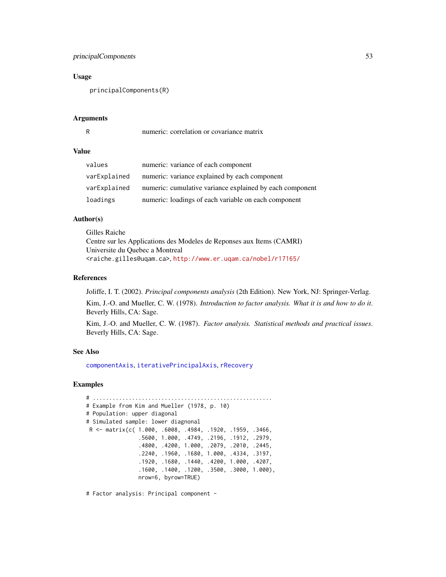### <span id="page-52-0"></span>principalComponents 53

#### Usage

principalComponents(R)

#### Arguments

R numeric: correlation or covariance matrix

#### Value

| values       | numeric: variance of each component                      |
|--------------|----------------------------------------------------------|
| varExplained | numeric: variance explained by each component            |
| varExplained | numeric: cumulative variance explained by each component |
| loadings     | numeric: loadings of each variable on each component     |

#### Author(s)

Gilles Raiche Centre sur les Applications des Modeles de Reponses aux Items (CAMRI) Universite du Quebec a Montreal <raiche.gilles@uqam.ca>, <http://www.er.uqam.ca/nobel/r17165/>

#### References

Joliffe, I. T. (2002). *Principal components analysis* (2th Edition). New York, NJ: Springer-Verlag.

Kim, J.-O. and Mueller, C. W. (1978). *Introduction to factor analysis. What it is and how to do it*. Beverly Hills, CA: Sage.

Kim, J.-O. and Mueller, C. W. (1987). *Factor analysis. Statistical methods and practical issues*. Beverly Hills, CA: Sage.

#### See Also

[componentAxis](#page-6-1), [iterativePrincipalAxis](#page-18-1), [rRecovery](#page-53-1)

### Examples

```
# .......................................................
# Example from Kim and Mueller (1978, p. 10)
# Population: upper diagonal
# Simulated sample: lower diagnonal
R <- matrix(c( 1.000, .6008, .4984, .1920, .1959, .3466,
                .5600, 1.000, .4749, .2196, .1912, .2979,
                .4800, .4200, 1.000, .2079, .2010, .2445,
                .2240, .1960, .1680, 1.000, .4334, .3197,
                .1920, .1680, .1440, .4200, 1.000, .4207,
                .1600, .1400, .1200, .3500, .3000, 1.000),
                nrow=6, byrow=TRUE)
```
# Factor analysis: Principal component -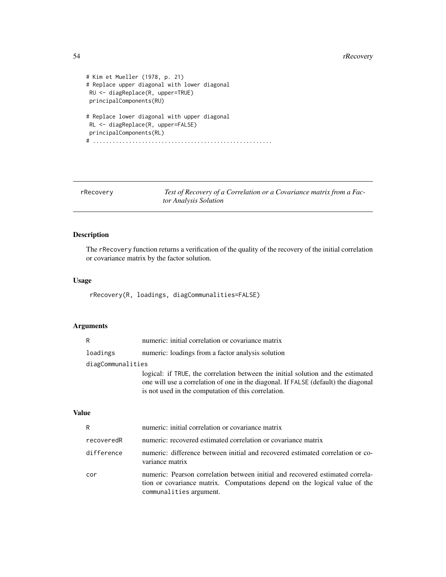```
# Kim et Mueller (1978, p. 21)
# Replace upper diagonal with lower diagonal
RU <- diagReplace(R, upper=TRUE)
principalComponents(RU)
# Replace lower diagonal with upper diagonal
RL <- diagReplace(R, upper=FALSE)
principalComponents(RL)
# .......................................................
```
<span id="page-53-1"></span>rRecovery *Test of Recovery of a Correlation or a Covariance matrix from a Factor Analysis Solution*

### Description

The rRecovery function returns a verification of the quality of the recovery of the initial correlation or covariance matrix by the factor solution.

### Usage

rRecovery(R, loadings, diagCommunalities=FALSE)

### Arguments

| R                 | numeric: initial correlation or covariance matrix                                                                                                                                                                             |
|-------------------|-------------------------------------------------------------------------------------------------------------------------------------------------------------------------------------------------------------------------------|
| loadings          | numeric: loadings from a factor analysis solution                                                                                                                                                                             |
| diagCommunalities |                                                                                                                                                                                                                               |
|                   | logical: if TRUE, the correlation between the initial solution and the estimated<br>one will use a correlation of one in the diagonal. If FALSE (default) the diagonal<br>is not used in the computation of this correlation. |

### Value

| R          | numeric: initial correlation or covariance matrix                                                                                                                                      |
|------------|----------------------------------------------------------------------------------------------------------------------------------------------------------------------------------------|
| recoveredR | numeric: recovered estimated correlation or covariance matrix                                                                                                                          |
| difference | numeric: difference between initial and recovered estimated correlation or co-<br>variance matrix                                                                                      |
| cor        | numeric: Pearson correlation between initial and recovered estimated correla-<br>tion or covariance matrix. Computations depend on the logical value of the<br>communalities argument. |

<span id="page-53-0"></span>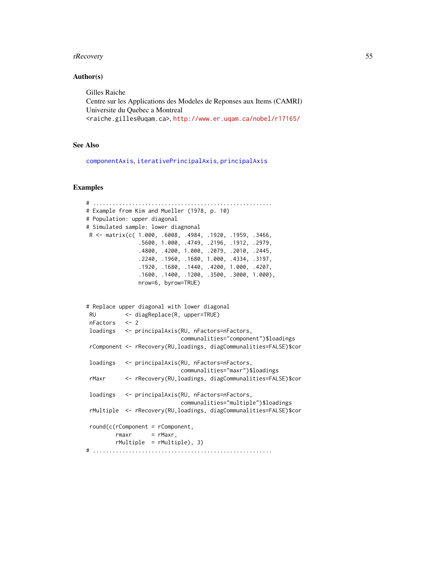#### <span id="page-54-0"></span>rRecovery 55

#### Author(s)

Gilles Raiche Centre sur les Applications des Modeles de Reponses aux Items (CAMRI) Universite du Quebec a Montreal <raiche.gilles@uqam.ca>, <http://www.er.uqam.ca/nobel/r17165/>

### See Also

[componentAxis](#page-6-1), [iterativePrincipalAxis](#page-18-1), [principalAxis](#page-50-1)

#### Examples

```
# .......................................................
# Example from Kim and Mueller (1978, p. 10)
# Population: upper diagonal
# Simulated sample: lower diagnonal
R <- matrix(c( 1.000, .6008, .4984, .1920, .1959, .3466,
               .5600, 1.000, .4749, .2196, .1912, .2979,
               .4800, .4200, 1.000, .2079, .2010, .2445,
               .2240, .1960, .1680, 1.000, .4334, .3197,
               .1920, .1680, .1440, .4200, 1.000, .4207,
               .1600, .1400, .1200, .3500, .3000, 1.000),
               nrow=6, byrow=TRUE)
# Replace upper diagonal with lower diagonal
RU <- diagReplace(R, upper=TRUE)
nFactors <- 2
loadings <- principalAxis(RU, nFactors=nFactors,
                            communalities="component")$loadings
rComponent <- rRecovery(RU,loadings, diagCommunalities=FALSE)$cor
loadings <- principalAxis(RU, nFactors=nFactors,
                            communalities="maxr")$loadings
rMaxr <- rRecovery(RU,loadings, diagCommunalities=FALSE)$cor
loadings <- principalAxis(RU, nFactors=nFactors,
                            communalities="multiple")$loadings
rMultiple <- rRecovery(RU,loadings, diagCommunalities=FALSE)$cor
round(c(rComponent = rComponent,
        r = rMaxr,
        rMultiple = rMultiple), 3)
# .......................................................
```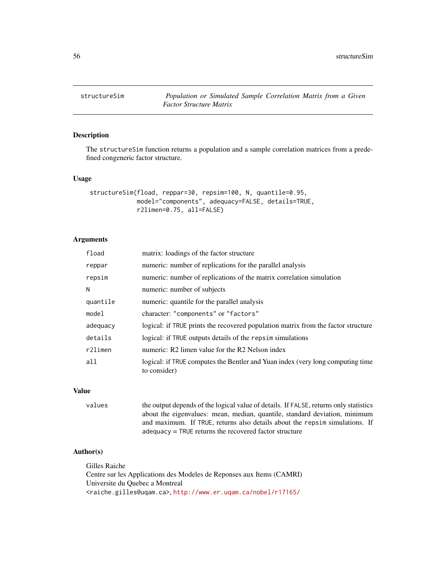<span id="page-55-1"></span><span id="page-55-0"></span>

### Description

The structureSim function returns a population and a sample correlation matrices from a predefined congeneric factor structure.

#### Usage

```
structureSim(fload, reppar=30, repsim=100, N, quantile=0.95,
             model="components", adequacy=FALSE, details=TRUE,
             r2limen=0.75, all=FALSE)
```
#### Arguments

| fload    | matrix: loadings of the factor structure                                                       |
|----------|------------------------------------------------------------------------------------------------|
| reppar   | numeric: number of replications for the parallel analysis                                      |
| repsim   | numeric: number of replications of the matrix correlation simulation                           |
| N        | numeric: number of subjects                                                                    |
| quantile | numeric: quantile for the parallel analysis                                                    |
| model    | character: "components" or "factors"                                                           |
| adequacy | logical: if TRUE prints the recovered population matrix from the factor structure              |
| details  | logical: if TRUE outputs details of the repsim simulations                                     |
| r2limen  | numeric: R2 limen value for the R2 Nelson index                                                |
| a11      | logical: if TRUE computes the Bentler and Yuan index (very long computing time<br>to consider) |

#### Value

values the output depends of the logical value of details. If FALSE, returns only statistics about the eigenvalues: mean, median, quantile, standard deviation, minimum and maximum. If TRUE, returns also details about the repsim simulations. If adequacy = TRUE returns the recovered factor structure

#### Author(s)

Gilles Raiche Centre sur les Applications des Modeles de Reponses aux Items (CAMRI) Universite du Quebec a Montreal <raiche.gilles@uqam.ca>, <http://www.er.uqam.ca/nobel/r17165/>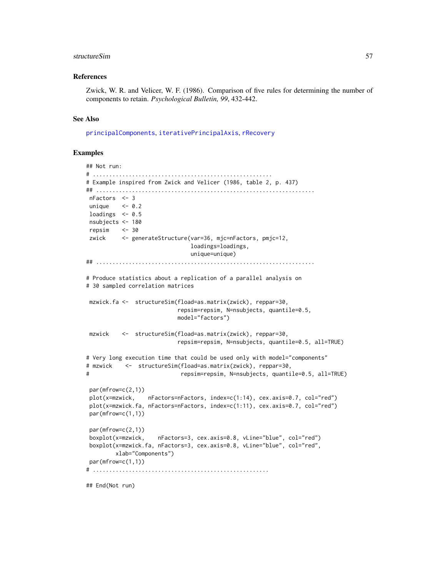#### <span id="page-56-0"></span>structureSim 57

#### References

Zwick, W. R. and Velicer, W. F. (1986). Comparison of five rules for determining the number of components to retain. *Psychological Bulletin, 99*, 432-442.

#### See Also

[principalComponents](#page-51-1), [iterativePrincipalAxis](#page-18-1), [rRecovery](#page-53-1)

#### Examples

```
## Not run:
# .......................................................
# Example inspired from Zwick and Velicer (1986, table 2, p. 437)
## ...................................................................
nFactors <- 3
unique <-0.2loadings <-0.5nsubjects <- 180
repsim <- 30
zwick <- generateStructure(var=36, mjc=nFactors, pmjc=12,
                              loadings=loadings,
                              unique=unique)
## ...................................................................
# Produce statistics about a replication of a parallel analysis on
# 30 sampled correlation matrices
mzwick.fa <- structureSim(fload=as.matrix(zwick), reppar=30,
                           repsim=repsim, N=nsubjects, quantile=0.5,
                           model="factors")
mzwick <- structureSim(fload=as.matrix(zwick), reppar=30,
                           repsim=repsim, N=nsubjects, quantile=0.5, all=TRUE)
# Very long execution time that could be used only with model="components"
# mzwick <- structureSim(fload=as.matrix(zwick), reppar=30,
# repsim=repsim, N=nsubjects, quantile=0.5, all=TRUE)
par(mfrow=c(2,1))
plot(x=mzwick, nFactors=nFactors, index=c(1:14), cex.axis=0.7, col="red")
plot(x=mzwick.fa, nFactors=nFactors, index=c(1:11), cex.axis=0.7, col="red")
par(mfrow=c(1,1))
par(mfrow=c(2,1))
boxplot(x=mzwick, nFactors=3, cex.axis=0.8, vLine="blue", col="red")
boxplot(x=mzwick.fa, nFactors=3, cex.axis=0.8, vLine="blue", col="red",
        xlab="Components")
par(mfrow=c(1,1))
# ......................................................
```
## End(Not run)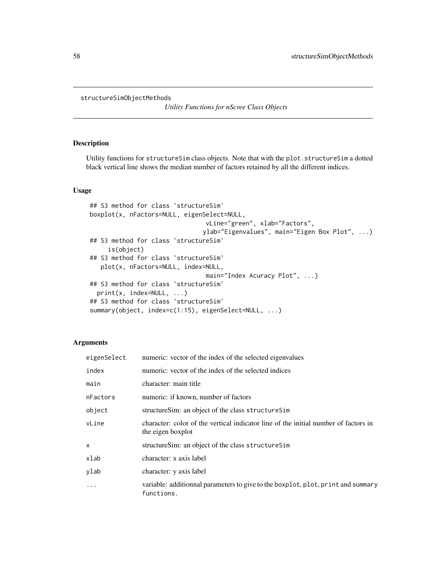```
structureSimObjectMethods
```
*Utility Functions for nScree Class Objects*

### Description

Utility functions for structureSim class objects. Note that with the plot.structureSim a dotted black vertical line shows the median number of factors retained by all the different indices.

#### Usage

```
## S3 method for class 'structureSim'
boxplot(x, nFactors=NULL, eigenSelect=NULL,
                                vLine="green", xlab="Factors",
                               ylab="Eigenvalues", main="Eigen Box Plot", ...)
## S3 method for class 'structureSim'
     is(object)
## S3 method for class 'structureSim'
   plot(x, nFactors=NULL, index=NULL,
                                main="Index Acuracy Plot", ...)
## S3 method for class 'structureSim'
 print(x, index=NULL, ...)
## S3 method for class 'structureSim'
summary(object, index=c(1:15), eigenSelect=NULL, ...)
```
#### Arguments

| eigenSelect | numeric: vector of the index of the selected eigenvalues                                                 |
|-------------|----------------------------------------------------------------------------------------------------------|
| index       | numeric: vector of the index of the selected indices                                                     |
| main        | character: main title                                                                                    |
| nFactors    | numeric: if known, number of factors                                                                     |
| object      | structureSim: an object of the class structureSim                                                        |
| vLine       | character: color of the vertical indicator line of the initial number of factors in<br>the eigen boxplot |
| X           | structureSim: an object of the class structureSim                                                        |
| xlab        | character: x axis label                                                                                  |
| ylab        | character: y axis label                                                                                  |
| $\ddots$    | variable: additionnal parameters to give to the boxplot, plot, print and summary<br>functions.           |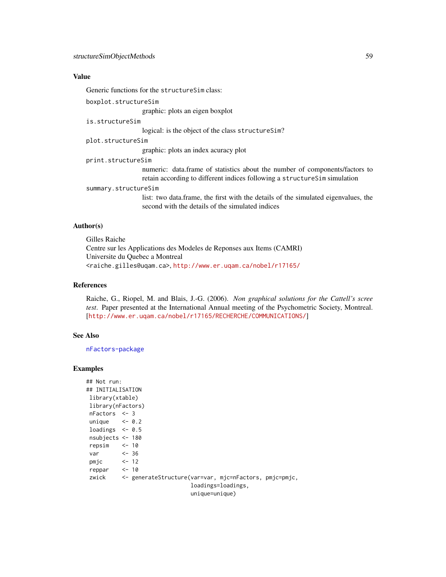### Value

Generic functions for the structureSim class:

boxplot.structureSim

graphic: plots an eigen boxplot

is.structureSim

logical: is the object of the class structureSim?

plot.structureSim

graphic: plots an index acuracy plot

print.structureSim

numeric: data.frame of statistics about the number of components/factors to retain according to different indices following a structureSim simulation

#### summary.structureSim

list: two data.frame, the first with the details of the simulated eigenvalues, the second with the details of the simulated indices

#### Author(s)

Gilles Raiche Centre sur les Applications des Modeles de Reponses aux Items (CAMRI) Universite du Quebec a Montreal <raiche.gilles@uqam.ca>, <http://www.er.uqam.ca/nobel/r17165/>

### References

Raiche, G., Riopel, M. and Blais, J.-G. (2006). *Non graphical solutions for the Cattell's scree test*. Paper presented at the International Annual meeting of the Psychometric Society, Montreal. [<http://www.er.uqam.ca/nobel/r17165/RECHERCHE/COMMUNICATIONS/>]

#### See Also

[nFactors-package](#page-1-1)

#### Examples

| ## Not run:           |                                                              |
|-----------------------|--------------------------------------------------------------|
| ## INITIALISATION     |                                                              |
| library(xtable)       |                                                              |
| library(nFactors)     |                                                              |
| $nFactors < -3$       |                                                              |
| unique $\leq -0.2$    |                                                              |
| loadings $\leq -0.5$  |                                                              |
| nsubjects $<-180$     |                                                              |
| repsim $\le$ 10       |                                                              |
| $var$ $\leftarrow$ 36 |                                                              |
| $pmjc$ <- 12          |                                                              |
| reppar <- 10          |                                                              |
|                       | zwick <- generateStructure(var=var, mjc=nFactors, pmjc=pmjc, |
|                       | loadings=loadings,                                           |
|                       | $unique = unique)$                                           |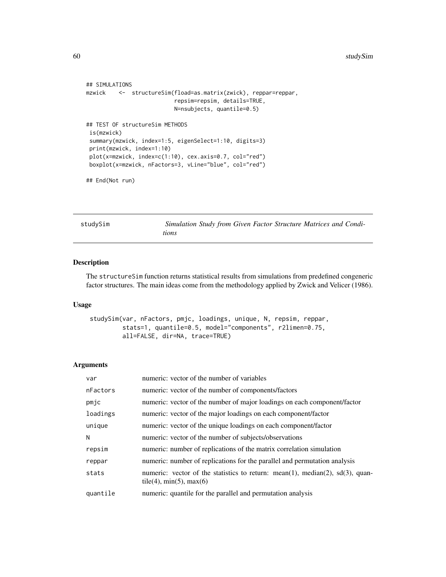```
## SIMULATIONS
mzwick <- structureSim(fload=as.matrix(zwick), reppar=reppar,
                          repsim=repsim, details=TRUE,
                          N=nsubjects, quantile=0.5)
## TEST OF structureSim METHODS
is(mzwick)
summary(mzwick, index=1:5, eigenSelect=1:10, digits=3)
print(mzwick, index=1:10)
plot(x=mzwick, index=c(1:10), cex.axis=0.7, col="red")
boxplot(x=mzwick, nFactors=3, vLine="blue", col="red")
```
## End(Not run)

studySim *Simulation Study from Given Factor Structure Matrices and Conditions*

#### Description

The structureSim function returns statistical results from simulations from predefined congeneric factor structures. The main ideas come from the methodology applied by Zwick and Velicer (1986).

### Usage

```
studySim(var, nFactors, pmjc, loadings, unique, N, repsim, reppar,
         stats=1, quantile=0.5, model="components", r2limen=0.75,
         all=FALSE, dir=NA, trace=TRUE)
```
#### Arguments

| var      | numeric: vector of the number of variables                                                                    |
|----------|---------------------------------------------------------------------------------------------------------------|
| nFactors | numeric: vector of the number of components/factors                                                           |
| pmjc     | numeric: vector of the number of major loadings on each component/factor                                      |
| loadings | numeric: vector of the major loadings on each component/factor                                                |
| unique   | numeric: vector of the unique loadings on each component/factor                                               |
| N        | numeric: vector of the number of subjects/observations                                                        |
| repsim   | numeric: number of replications of the matrix correlation simulation                                          |
| reppar   | numeric: number of replications for the parallel and permutation analysis                                     |
| stats    | numeric: vector of the statistics to return: mean(1), median(2), sd(3), quan-<br>tile(4), $min(5)$ , $max(6)$ |
| quantile | numeric: quantile for the parallel and permutation analysis                                                   |
|          |                                                                                                               |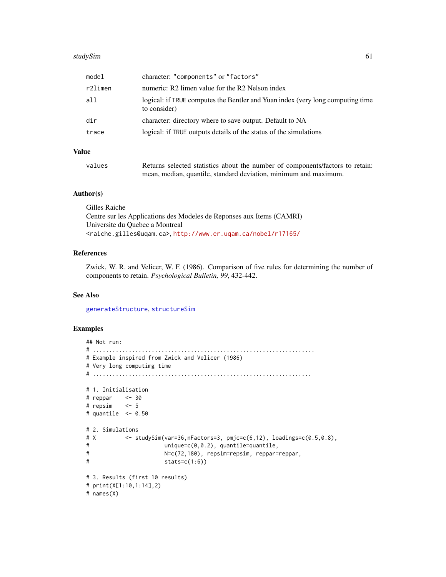#### <span id="page-60-0"></span>studySim 61

| model   | character: "components" or "factors"                                                           |
|---------|------------------------------------------------------------------------------------------------|
| r2limen | numeric: R2 limen value for the R2 Nelson index                                                |
| all     | logical: if TRUE computes the Bentler and Yuan index (very long computing time<br>to consider) |
| dir     | character: directory where to save output. Default to NA                                       |
| trace   | logical: if TRUE outputs details of the status of the simulations                              |
|         |                                                                                                |

### Value

| values | Returns selected statistics about the number of components/factors to retain: |
|--------|-------------------------------------------------------------------------------|
|        | mean, median, quantile, standard deviation, minimum and maximum.              |

#### Author(s)

Gilles Raiche Centre sur les Applications des Modeles de Reponses aux Items (CAMRI) Universite du Quebec a Montreal <raiche.gilles@uqam.ca>, <http://www.er.uqam.ca/nobel/r17165/>

### References

Zwick, W. R. and Velicer, W. F. (1986). Comparison of five rules for determining the number of components to retain. *Psychological Bulletin, 99*, 432-442.

#### See Also

[generateStructure](#page-16-1), [structureSim](#page-55-1)

### Examples

```
## Not run:
# ....................................................................
# Example inspired from Zwick and Velicer (1986)
# Very long computimg time
# ...................................................................
# 1. Initialisation
# reppar <- 30
# repsim <- 5
# quantile <- 0.50
# 2. Simulations
# X <- studySim(var=36,nFactors=3, pmjc=c(6,12), loadings=c(0.5,0.8),
# unique=c(0,0.2), quantile=quantile,
# N=c(72,180), repsim=repsim, reppar=reppar,
# stats=c(1:6))
# 3. Results (first 10 results)
# print(X[1:10,1:14],2)
# names(X)
```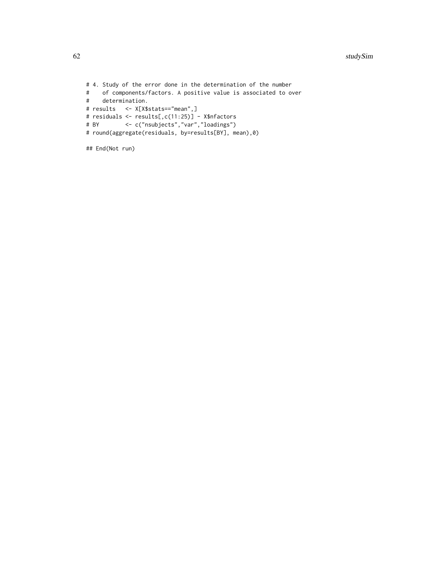```
# 4. Study of the error done in the determination of the number
# of components/factors. A positive value is associated to over
  determination.
# results <- X[X$stats=="mean",]
# residuals <- results[,c(11:25)] - X$nfactors
          # BY <- c("nsubjects","var","loadings")
# round(aggregate(residuals, by=results[BY], mean),0)
```

```
## End(Not run)
```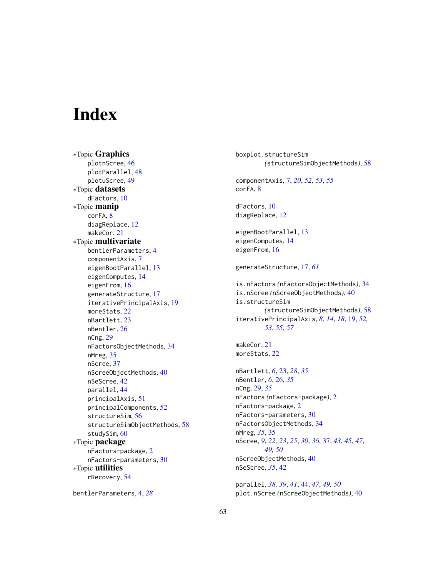# <span id="page-62-0"></span>**Index**

∗Topic Graphics plotnScree, [46](#page-45-0) plotParallel, [48](#page-47-0) plotuScree, [49](#page-48-0) ∗Topic datasets dFactors, [10](#page-9-0) ∗Topic manip corFA, [8](#page-7-0) diagReplace, [12](#page-11-0) makeCor, [21](#page-20-0) ∗Topic multivariate bentlerParameters, [4](#page-3-0) componentAxis, [7](#page-6-0) eigenBootParallel, [13](#page-12-0) eigenComputes, [14](#page-13-0) eigenFrom, [16](#page-15-0) generateStructure, [17](#page-16-0) iterativePrincipalAxis, [19](#page-18-0) moreStats, [22](#page-21-0) nBartlett, [23](#page-22-0) nBentler, [26](#page-25-0) nCng, [29](#page-28-0) nFactorsObjectMethods, [34](#page-33-0) nMreg, [35](#page-34-0) nScree, [37](#page-36-0) nScreeObjectMethods, [40](#page-39-0) nSeScree, [42](#page-41-0) parallel, [44](#page-43-0) principalAxis, [51](#page-50-0) principalComponents, [52](#page-51-0) structureSim, [56](#page-55-0) structureSimObjectMethods, [58](#page-57-0) studySim, [60](#page-59-0) ∗Topic package nFactors-package, [2](#page-1-0) nFactors-parameters, [30](#page-29-0) ∗Topic utilities rRecovery, [54](#page-53-0)

```
bentlerParameters, 4, 28
```
boxplot.structureSim *(*structureSimObjectMethods*)*, [58](#page-57-0) componentAxis, [7,](#page-6-0) *[20](#page-19-0)*, *[52,](#page-51-0) [53](#page-52-0)*, *[55](#page-54-0)* corFA, [8](#page-7-0) dFactors, [10](#page-9-0) diagReplace, [12](#page-11-0) eigenBootParallel, [13](#page-12-0) eigenComputes, [14](#page-13-0) eigenFrom, [16](#page-15-0) generateStructure, [17,](#page-16-0) *[61](#page-60-0)* is.nFactors *(*nFactorsObjectMethods*)*, [34](#page-33-0) is.nScree *(*nScreeObjectMethods*)*, [40](#page-39-0) is.structureSim *(*structureSimObjectMethods*)*, [58](#page-57-0) iterativePrincipalAxis, *[8](#page-7-0)*, *[14](#page-13-0)*, *[18](#page-17-0)*, [19,](#page-18-0) *[52,](#page-51-0) [53](#page-52-0)*, *[55](#page-54-0)*, *[57](#page-56-0)* makeCor, [21](#page-20-0) moreStats, [22](#page-21-0) nBartlett, *[6](#page-5-0)*, [23,](#page-22-0) *[28](#page-27-0)*, *[35](#page-34-0)* nBentler, *[6](#page-5-0)*, [26,](#page-25-0) *[35](#page-34-0)* nCng, [29,](#page-28-0) *[35](#page-34-0)* nFactors *(*nFactors-package*)*, [2](#page-1-0) nFactors-package, [2](#page-1-0) nFactors-parameters, [30](#page-29-0) nFactorsObjectMethods, [34](#page-33-0) nMreg, *[35](#page-34-0)*, [35](#page-34-0) nScree, *[9](#page-8-0)*, *[22,](#page-21-0) [23](#page-22-0)*, *[25](#page-24-0)*, *[30](#page-29-0)*, *[36](#page-35-0)*, [37,](#page-36-0) *[43](#page-42-0)*, *[45](#page-44-0)*, *[47](#page-46-0)*, *[49,](#page-48-0) [50](#page-49-0)* nScreeObjectMethods, [40](#page-39-0) nSeScree, *[35](#page-34-0)*, [42](#page-41-0)

parallel, *[38,](#page-37-0) [39](#page-38-0)*, *[41](#page-40-0)*, [44,](#page-43-0) *[47](#page-46-0)*, *[49,](#page-48-0) [50](#page-49-0)* plot.nScree *(*nScreeObjectMethods*)*, [40](#page-39-0)